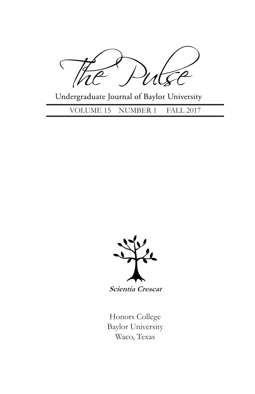$\zeta$ 

Undergraduate Journal of Baylor University

VOLUME 15 NUMBER 1 FALL 2017



**Scientia Crescat**

Honors College Baylor University Waco, Texas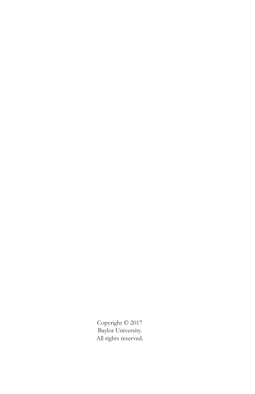Copyright © 2017 Baylor University. All rights reserved.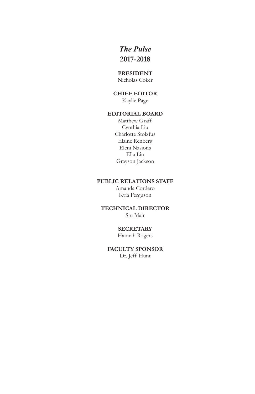# *The Pulse* **2017-2018**

#### **PRESIDENT**

Nicholas Coker

## **CHIEF EDITOR**

Kaylie Page

## **EDITORIAL BOARD**

Matthew Graff Cynthia Liu Charlotte Stolzfus Elaine Renberg Eleni Nasiotis Ella Liu Grayson Jackson

#### **PUBLIC RELATIONS STAFF**

Amanda Cordero Kyla Ferguson

# **TECHNICAL DIRECTOR**

Stu Mair

# **SECRETARY**

Hannah Rogers

# **FACULTY SPONSOR**

Dr. Jeff Hunt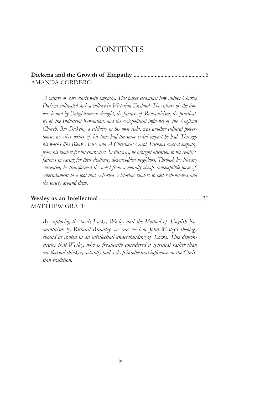# CONTENTS

#### **Dickens and the Growth of Empathy**....................................................6 AMANDA CORDERO

*A culture of care starts with empathy. This paper examines how author Charles Dickens cultivated such a culture in Victorian England. The culture of the time was bound by Enlightenment thought, the fantasy of Romanticism, the practicality of the Industrial Revolution, and the sociopolitical influence of the Anglican Church. But Dickens, a celebrity in his own right, was another cultural powerhouse: no other writer of his time had the same social impact he had. Through his works like Bleak House and A Christmas Carol, Dickens coaxed empathy from his readers for his characters. In this way, he brought attention to his readers' failings in caring for their destitute, downtrodden neighbors. Through his literary entreaties, he transformed the novel from a morally cheap, contemptible form of entertainment to a tool that exhorted Victorian readers to better themselves and the society around them.*

## **Wesley as an Intellectual**......................................................................... 30 MATTHEW GRAFF

*By exploring the book Locke, Wesley and the Method of English Romanticism by Richard Brantley, we can see how John Wesley's theology should be rooted in an intellectual understanding of Locke. This demonstrates that Wesley, who is frequently considered a spiritual rather than intellectual thinker, actually had a deep intellectual influence on the Christian tradition.*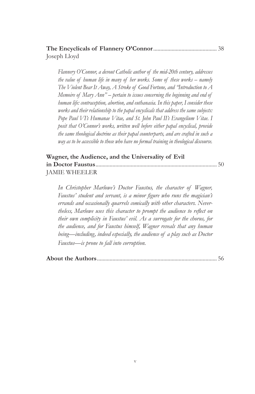## **The Encyclicals of Flannery O'Connor**............................................. 38 Joseph Lloyd

*Flannery O'Connor, a devout Catholic author of the mid-20th century, addresses the value of human life in many of her works. Some of these works – namely The Violent Bear It Away, A Stroke of Good Fortune, and "Introduction to A Memoire of Mary Ann" – pertain to issues concerning the beginning and end of human life: contraception, abortion, and euthanasia. In this paper, I consider these works and their relationship to the papal encyclicals that address the same subjects: Pope Paul VI's Humanae Vitae, and St. John Paul II's Evangelium Vitae. I posit that O'Connor's works, written well before either papal encyclical, provide the same theological doctrine as their papal counterparts, and are crafted in such a way as to be accessible to those who have no formal training in theological discourse.*

## **Wagner, the Audience, and the Universality of Evil in Doctor Faustus**...................................................................................... 50 JAMIE WHEELER

*In Christopher Marlowe's Doctor Faustus, the character of Wagner, Faustus' student and servant, is a minor figure who runs the magician's errands and occasionally quarrels comically with other characters. Nevertheless, Marlowe uses this character to prompt the audience to reflect on their own complicity in Faustus' evil. As a surrogate for the chorus, for the audience, and for Faustus himself, Wagner reveals that any human being—including, indeed especially, the audience of a play such as Doctor Faustus—is prone to fall into corruption.*

|--|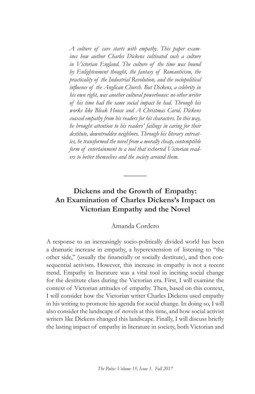*A culture of care starts with empathy. This paper examines how author Charles Dickens cultivated such a culture in Victorian England. The culture of the time was bound by Enlightenment thought, the fantasy of Romanticism, the practicality of the Industrial Revolution, and the sociopolitical influence of the Anglican Church. But Dickens, a celebrity in his own right, was another cultural powerhouse: no other writer of his time had the same social impact he had. Through his works like Bleak House and A Christmas Carol, Dickens coaxed empathy from his readers for his characters. In this way, he brought attention to his readers' failings in caring for their destitute, downtrodden neighbors. Through his literary entreaties, he transformed the novel from a morally cheap, contemptible form of entertainment to a tool that exhorted Victorian readers to better themselves and the society around them.*

# **Dickens and the Growth of Empathy: An Examination of Charles Dickens's Impact on Victorian Empathy and the Novel**

**\_\_\_\_\_\_**

### Amanda Cordero

A response to an increasingly socio-politically divided world has been a dramatic increase in empathy, a hyperextension of listening to "the other side," (usually the financially or socially destitute), and then consequential activism. However, this increase in empathy is not a recent trend. Empathy in literature was a vital tool in inciting social change for the destitute class during the Victorian era. First, I will examine the context of Victorian attitudes of empathy. Then, based on this context, I will consider how the Victorian writer Charles Dickens used empathy in his writing to promote his agenda for social change. In doing so, I will also consider the landscape of novels at this time, and how social activist writers like Dickens changed this landscape. Finally, I will discuss briefly the lasting impact of empathy in literature in society, both Victorian and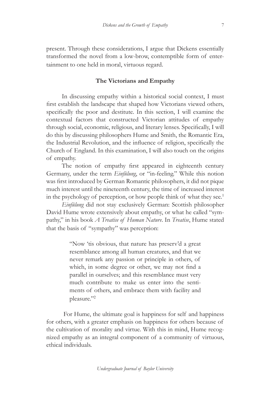present. Through these considerations, I argue that Dickens essentially transformed the novel from a low-brow, contemptible form of entertainment to one held in moral, virtuous regard.

#### **The Victorians and Empathy**

In discussing empathy within a historical social context, I must first establish the landscape that shaped how Victorians viewed others, specifically the poor and destitute. In this section, I will examine the contextual factors that constructed Victorian attitudes of empathy through social, economic, religious, and literary lenses. Specifically, I will do this by discussing philosophers Hume and Smith, the Romantic Era, the Industrial Revolution, and the influence of religion, specifically the Church of England. In this examination, I will also touch on the origins of empathy.

The notion of empathy first appeared in eighteenth century Germany, under the term *Einfülung*, or "in-feeling." While this notion was first introduced by German Romantic philosophers, it did not pique much interest until the nineteenth century, the time of increased interest in the psychology of perception, or how people think of what they see.<sup>1</sup>

*Einfülung* did not stay exclusively German: Scottish philosopher David Hume wrote extensively about empathy, or what he called "sympathy," in his book *A Treatise of Human Nature*. In *Treatise*, Hume stated that the basis of "sympathy" was perception:

> "Now 'tis obvious, that nature has preserv'd a great resemblance among all human creatures, and that we never remark any passion or principle in others, of which, in some degree or other, we may not find a parallel in ourselves; and this resemblance must very much contribute to make us enter into the sentiments of others, and embrace them with facility and pleasure."<sup>2</sup>

 For Hume, the ultimate goal is happiness for self and happiness for others, with a greater emphasis on happiness for others because of the cultivation of morality and virtue. With this in mind, Hume recognized empathy as an integral component of a community of virtuous, ethical individuals.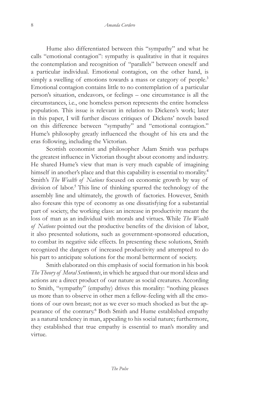Hume also differentiated between this "sympathy" and what he calls "emotional contagion": sympathy is qualitative in that it requires the contemplation and recognition of "parallels" between oneself and a particular individual. Emotional contagion, on the other hand, is simply a swelling of emotions towards a mass or category of people.<sup>3</sup> Emotional contagion contains little to no contemplation of a particular person's situation, endeavors, or feelings – one circumstance is all the circumstances, i.e., one homeless person represents the entire homeless population. This issue is relevant in relation to Dickens's work; later in this paper, I will further discuss critiques of Dickens' novels based on this difference between "sympathy" and "emotional contagion." Hume's philosophy greatly influenced the thought of his era and the eras following, including the Victorian.

Scottish economist and philosopher Adam Smith was perhaps the greatest influence in Victorian thought about economy and industry. He shared Hume's view that man is very much capable of imagining himself in another's place and that this capability is essential to morality.<sup>4</sup> Smith's *The Wealth of Nations* focused on economic growth by way of division of labor.<sup>5</sup> This line of thinking spurred the technology of the assembly line and ultimately, the growth of factories. However, Smith also foresaw this type of economy as one dissatisfying for a substantial part of society, the working class: an increase in productivity meant the loss of man as an individual with morals and virtues. While *The Wealth of Nations* pointed out the productive benefits of the division of labor, it also presented solutions, such as government-sponsored education, to combat its negative side effects. In presenting these solutions, Smith recognized the dangers of increased productivity and attempted to do his part to anticipate solutions for the moral betterment of society.

Smith elaborated on this emphasis of social formation in his book *The Theory of Moral Sentiments*, in which he argued that our moral ideas and actions are a direct product of our nature as social creatures. According to Smith, "sympathy" (empathy) drives this morality: "nothing pleases us more than to observe in other men a fellow-feeling with all the emotions of our own breast; not as we ever so much shocked as but the appearance of the contrary.<sup>6</sup> Both Smith and Hume established empathy as a natural tendency in man, appealing to his social nature; furthermore, they established that true empathy is essential to man's morality and virtue.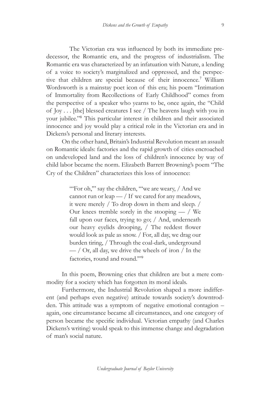The Victorian era was influenced by both its immediate predecessor, the Romantic era, and the progress of industrialism. The Romantic era was characterized by an infatuation with Nature, a lending of a voice to society's marginalized and oppressed, and the perspective that children are special because of their innocence.<sup>7</sup> William Wordsworth is a mainstay poet icon of this era; his poem "Intimation of Immortality from Recollections of Early Childhood" comes from the perspective of a speaker who yearns to be, once again, the "Child of Joy . . . [the] blessed creatures I see / The heavens laugh with you in your jubilee."<sup>8</sup> This particular interest in children and their associated innocence and joy would play a critical role in the Victorian era and in Dickens's personal and literary interests.

On the other hand, Britain's Industrial Revolution meant an assault on Romantic ideals: factories and the rapid growth of cities encroached on undeveloped land and the loss of children's innocence by way of child labor became the norm. Elizabeth Barrett Browning's poem "The Cry of the Children" characterizes this loss of innocence:

> "For oh," say the children, ""we are weary, / And we cannot run or leap  $-$  / If we cared for any meadows, it were merely / To drop down in them and sleep. / Our knees tremble sorely in the stooping  $-$  / We fall upon our faces, trying to go; / And, underneath our heavy eyelids drooping, / The reddest flower would look as pale as snow. / For, all day, we drag our burden tiring, / Through the coal-dark, underground  $-$  / Or, all day, we drive the wheels of iron / In the factories, round and round.'"<sup>9</sup>

In this poem, Browning cries that children are but a mere commodity for a society which has forgotten its moral ideals.

Furthermore, the Industrial Revolution shaped a more indifferent (and perhaps even negative) attitude towards society's downtrodden. This attitude was a symptom of negative emotional contagion – again, one circumstance became all circumstances, and one category of person became the specific individual. Victorian empathy (and Charles Dickens's writing) would speak to this immense change and degradation of man's social nature.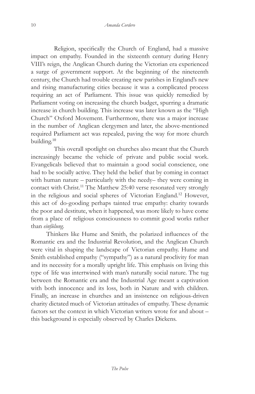Religion, specifically the Church of England, had a massive impact on empathy. Founded in the sixteenth century during Henry VIII's reign, the Anglican Church during the Victorian era experienced a surge of government support. At the beginning of the nineteenth century, the Church had trouble creating new parishes in England's new and rising manufacturing cities because it was a complicated process requiring an act of Parliament. This issue was quickly remedied by Parliament voting on increasing the church budget, spurring a dramatic increase in church building. This increase was later known as the "High Church" Oxford Movement. Furthermore, there was a major increase in the number of Anglican clergymen and later, the above-mentioned required Parliament act was repealed, paving the way for more church building.<sup>10</sup>

This overall spotlight on churches also meant that the Church increasingly became the vehicle of private and public social work. Evangelicals believed that to maintain a good social conscience, one had to be socially active. They held the belief that by coming in contact with human nature – particularly with the needy– they were coming in contact with Christ.<sup>11</sup> The Matthew 25:40 verse resonated very strongly in the religious and social spheres of Victorian England.<sup>12</sup> However, this act of do-gooding perhaps tainted true empathy: charity towards the poor and destitute, when it happened, was more likely to have come from a place of religious consciousness to commit good works rather than *einfülung*.

Thinkers like Hume and Smith, the polarized influences of the Romantic era and the Industrial Revolution, and the Anglican Church were vital in shaping the landscape of Victorian empathy. Hume and Smith established empathy ("sympathy") as a natural proclivity for man and its necessity for a morally upright life. This emphasis on living this type of life was intertwined with man's naturally social nature. The tug between the Romantic era and the Industrial Age meant a captivation with both innocence and its loss, both in Nature and with children. Finally, an increase in churches and an insistence on religious-driven charity dictated much of Victorian attitudes of empathy. These dynamic factors set the context in which Victorian writers wrote for and about – this background is especially observed by Charles Dickens.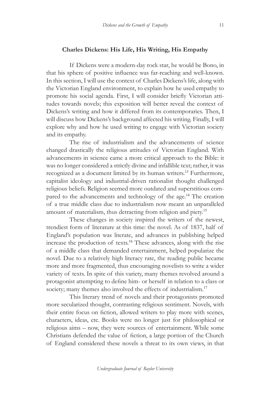#### **Charles Dickens: His Life, His Writing, His Empathy**

If Dickens were a modern-day rock star, he would be Bono, in that his sphere of positive influence was far-reaching and well-known. In this section, I will use the context of Charles Dickens's life, along with the Victorian England environment, to explain how he used empathy to promote his social agenda. First, I will consider briefly Victorian attitudes towards novels; this exposition will better reveal the context of Dickens's writing and how it differed from its contemporaries. Then, I will discuss how Dickens's background affected his writing. Finally, I will explore why and how he used writing to engage with Victorian society and its empathy.

The rise of industrialism and the advancements of science changed drastically the religious attitudes of Victorian England. With advancements in science came a more critical approach to the Bible: it was no longer considered a strictly divine and infallible text; rather, it was recognized as a document limited by its human writers.<sup>13</sup> Furthermore, capitalist ideology and industrial-driven rationalist thought challenged religious beliefs. Religion seemed more outdated and superstitious compared to the advancements and technology of the age.<sup>14</sup> The creation of a true middle class due to industrialism now meant an unparalleled amount of materialism, thus detracting from religion and piety.<sup>15</sup>

These changes in society inspired the writers of the newest, trendiest form of literature at this time: the novel. As of 1837, half of England's population was literate, and advances in publishing helped increase the production of texts.<sup>16</sup> These advances, along with the rise of a middle class that demanded entertainment, helped popularize the novel. Due to a relatively high literacy rate, the reading public became more and more fragmented, thus encouraging novelists to write a wider variety of texts. In spite of this variety, many themes revolved around a protagonist attempting to define him- or herself in relation to a class or society; many themes also involved the effects of industrialism.<sup>17</sup>

This literary trend of novels and their protagonists promoted more secularized thought, contrasting religious sentiment. Novels, with their entire focus on fiction, allowed writers to play more with scenes, characters, ideas, etc. Books were no longer just for philosophical or religious aims – now, they were sources of entertainment. While some Christians defended the value of fiction, a large portion of the Church of England considered these novels a threat to its own views, in that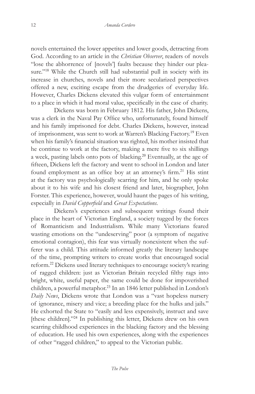novels entertained the lower appetites and lower goods, detracting from God. According to an article in the *Christian Observer*, readers of novels "lose the abhorrence of [novels'] faults because they hinder our pleasure."<sup>18</sup> While the Church still had substantial pull in society with its increase in churches, novels and their more secularized perspectives offered a new, exciting escape from the drudgeries of everyday life. However, Charles Dickens elevated this vulgar form of entertainment to a place in which it had moral value, specifically in the case of charity.

Dickens was born in February 1812. His father, John Dickens, was a clerk in the Naval Pay Office who, unfortunately, found himself and his family imprisoned for debt. Charles Dickens, however, instead of imprisonment, was sent to work at Warren's Blacking Factory.<sup>19</sup> Even when his family's financial situation was righted, his mother insisted that he continue to work at the factory, making a mere five to six shillings a week, pasting labels onto pots of blacking.<sup>20</sup> Eventually, at the age of fifteen, Dickens left the factory and went to school in London and later found employment as an office boy at an attorney's firm.<sup>21</sup> His stint at the factory was psychologically scarring for him, and he only spoke about it to his wife and his closest friend and later, biographer, John Forster. This experience, however, would haunt the pages of his writing, especially in *David Copperfield* and *Great Expectations*.

Dickens's experiences and subsequent writings found their place in the heart of Victorian England, a society tugged by the forces of Romanticism and Industrialism. While many Victorians feared wasting emotions on the "undeserving" poor (a symptom of negative emotional contagion), this fear was virtually nonexistent when the sufferer was a child. This attitude informed greatly the literary landscape of the time, prompting writers to create works that encouraged social reform.<sup>22</sup> Dickens used literary techniques to encourage society's rearing of ragged children: just as Victorian Britain recycled filthy rags into bright, white, useful paper, the same could be done for impoverished children, a powerful metaphor.<sup>23</sup> In an 1846 letter published in London's *Daily News*, Dickens wrote that London was a "vast hopeless nursery of ignorance, misery and vice; a breeding place for the hulks and jails." He exhorted the State to "easily and less expensively, instruct and save [these children]."<sup>24</sup> In publishing this letter, Dickens drew on his own scarring childhood experiences in the blacking factory and the blessing of education. He used his own experiences, along with the experiences of other "ragged children," to appeal to the Victorian public.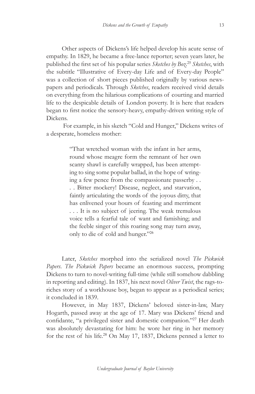Other aspects of Dickens's life helped develop his acute sense of empathy. In 1829, he became a free-lance reporter; seven years later, he published the first set of his popular series *Sketches by Boz*. <sup>25</sup> *Sketches*, with the subtitle "Illustrative of Every-day Life and of Every-day People" was a collection of short pieces published originally by various newspapers and periodicals. Through *Sketches*, readers received vivid details on everything from the hilarious complications of courting and married life to the despicable details of London poverty. It is here that readers began to first notice the sensory-heavy, empathy-driven writing style of Dickens.

 For example, in his sketch "Cold and Hunger," Dickens writes of a desperate, homeless mother:

> "That wretched woman with the infant in her arms, round whose meagre form the remnant of her own scanty shawl is carefully wrapped, has been attempting to sing some popular ballad, in the hope of wringing a few pence from the compassionate passerby . . . . Bitter mockery! Disease, neglect, and starvation, faintly articulating the words of the joyous ditty, that has enlivened your hours of feasting and merriment . . . It is no subject of jeering. The weak tremulous voice tells a fearful tale of want and famishing; and the feeble singer of this roaring song may turn away, only to die of cold and hunger."<sup>26</sup>

Later, *Sketches* morphed into the serialized novel *The Pickwick Papers*. *The Pickwick Papers* became an enormous success, prompting Dickens to turn to novel-writing full-time (while still somehow dabbling in reporting and editing). In 1837, his next novel *Oliver Twist*, the rags-toriches story of a workhouse boy, began to appear as a periodical series; it concluded in 1839.

However, in May 1837, Dickens' beloved sister-in-law, Mary Hogarth, passed away at the age of 17. Mary was Dickens' friend and confidante, "a privileged sister and domestic companion."<sup>27</sup> Her death was absolutely devastating for him: he wore her ring in her memory for the rest of his life.28 On May 17, 1837, Dickens penned a letter to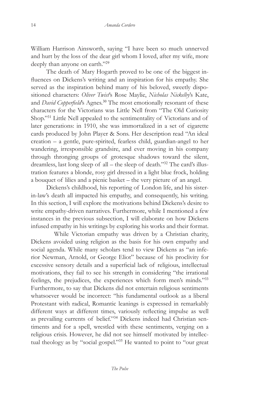William Harrison Ainsworth, saying "I have been so much unnerved and hurt by the loss of the dear girl whom I loved, after my wife, more deeply than anyone on earth."<sup>29</sup>

The death of Mary Hogarth proved to be one of the biggest influences on Dickens's writing and an inspiration for his empathy. She served as the inspiration behind many of his beloved, sweetly dispositioned characters: *Oliver Twist*'s Rose Maylie, *Nicholas Nickelby*'s Kate, and *David Copperfield*'s Agnes.<sup>30</sup> The most emotionally resonant of these characters for the Victorians was Little Nell from "The Old Curiosity Shop."<sup>31</sup> Little Nell appealed to the sentimentality of Victorians and of later generations: in 1910, she was immortalized in a set of cigarette cards produced by John Player & Sons. Her description read "An ideal creation – a gentle, pure-spirited, fearless child, guardian-angel to her wandering, irresponsible grandsire, and ever moving in his company through thronging groups of grotesque shadows toward the silent, dreamless, last long sleep of all – the sleep of death."32 The card's illustration features a blonde, rosy girl dressed in a light blue frock, holding a bouquet of lilies and a picnic basket – the very picture of an angel.

Dickens's childhood, his reporting of London life, and his sisterin-law's death all impacted his empathy, and consequently, his writing. In this section, I will explore the motivations behind Dickens's desire to write empathy-driven narratives. Furthermore, while I mentioned a few instances in the previous subsection, I will elaborate on how Dickens infused empathy in his writings by exploring his works and their format.

While Victorian empathy was driven by a Christian charity, Dickens avoided using religion as the basis for his own empathy and social agenda. While many scholars tend to view Dickens as "an inferior Newman, Arnold, or George Eliot" because of his proclivity for excessive sensory details and a superficial lack of religious, intellectual motivations, they fail to see his strength in considering "the irrational feelings, the prejudices, the experiences which form men's minds."<sup>33</sup> Furthermore, to say that Dickens did not entertain religious sentiments whatsoever would be incorrect: "his fundamental outlook as a liberal Protestant with radical, Romantic leanings is expressed in remarkably different ways at different times, variously reflecting impulse as well as prevailing currents of belief."34 Dickens indeed had Christian sentiments and for a spell, wrestled with these sentiments, verging on a religious crisis. However, he did not see himself motivated by intellectual theology as by "social gospel."<sup>35</sup> He wanted to point to "our great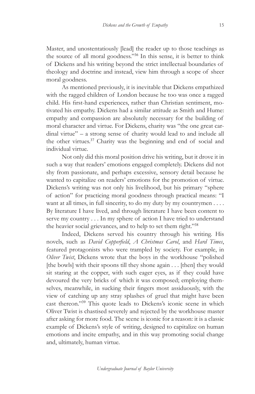Master, and unostentatiously [lead] the reader up to those teachings as the source of all moral goodness."<sup>36</sup> In this sense, it is better to think of Dickens and his writing beyond the strict intellectual boundaries of theology and doctrine and instead, view him through a scope of sheer moral goodness.

As mentioned previously, it is inevitable that Dickens empathized with the ragged children of London because he too was once a ragged child. His first-hand experiences, rather than Christian sentiment, motivated his empathy. Dickens had a similar attitude as Smith and Hume: empathy and compassion are absolutely necessary for the building of moral character and virtue. For Dickens, charity was "the one great cardinal virtue" – a strong sense of charity would lead to and include all the other virtues.<sup>37</sup> Charity was the beginning and end of social and individual virtue.

Not only did this moral position drive his writing, but it drove it in such a way that readers' emotions engaged completely. Dickens did not shy from passionate, and perhaps excessive, sensory detail because he wanted to capitalize on readers' emotions for the promotion of virtue. Dickens's writing was not only his livelihood, but his primary "sphere of action" for practicing moral goodness through practical means: "I want at all times, in full sincerity, to do my duty by my countrymen . . . . By literature I have lived, and through literature I have been content to serve my country . . . In my sphere of action I have tried to understand the heavier social grievances, and to help to set them right."<sup>38</sup>

Indeed, Dickens served his country through his writing. His novels, such as *David Copperfield*, *A Christmas Carol*, and *Hard Times*, featured protagonists who were trampled by society. For example, in *Oliver Twist*, Dickens wrote that the boys in the workhouse "polished [the bowls] with their spoons till they shone again . . . [then] they would sit staring at the copper, with such eager eyes, as if they could have devoured the very bricks of which it was composed; employing themselves, meanwhile, in sucking their fingers most assiduously, with the view of catching up any stray splashes of gruel that might have been cast thereon."<sup>39</sup> This quote leads to Dickens's iconic scene in which Oliver Twist is chastised severely and rejected by the workhouse master after asking for more food. The scene is iconic for a reason: it is a classic example of Dickens's style of writing, designed to capitalize on human emotions and incite empathy, and in this way promoting social change and, ultimately, human virtue.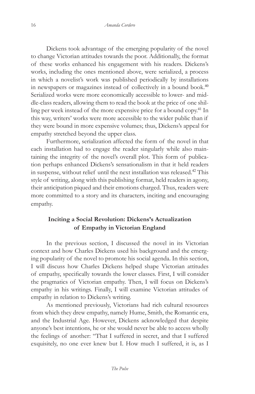Dickens took advantage of the emerging popularity of the novel to change Victorian attitudes towards the poor. Additionally, the format of these works enhanced his engagement with his readers. Dickens's works, including the ones mentioned above, were serialized, a process in which a novelist's work was published periodically by installations in newspapers or magazines instead of collectively in a bound book.<sup>40</sup> Serialized works were more economically accessible to lower- and middle-class readers, allowing them to read the book at the price of one shilling per week instead of the more expensive price for a bound copy.<sup>41</sup> In this way, writers' works were more accessible to the wider public than if they were bound in more expensive volumes; thus, Dickens's appeal for empathy stretched beyond the upper class.

Furthermore, serialization affected the form of the novel in that each installation had to engage the reader singularly while also maintaining the integrity of the novel's overall plot. This form of publication perhaps enhanced Dickens's sensationalism in that it held readers in suspense, without relief until the next installation was released.<sup>42</sup> This style of writing, along with this publishing format, held readers in agony, their anticipation piqued and their emotions charged. Thus, readers were more committed to a story and its characters, inciting and encouraging empathy.

# **Inciting a Social Revolution: Dickens's Actualization of Empathy in Victorian England**

In the previous section, I discussed the novel in its Victorian context and how Charles Dickens used his background and the emerging popularity of the novel to promote his social agenda. In this section, I will discuss how Charles Dickens helped shape Victorian attitudes of empathy, specifically towards the lower classes. First, I will consider the pragmatics of Victorian empathy. Then, I will focus on Dickens's empathy in his writings. Finally, I will examine Victorian attitudes of empathy in relation to Dickens's writing.

As mentioned previously, Victorians had rich cultural resources from which they drew empathy, namely Hume, Smith, the Romantic era, and the Industrial Age. However, Dickens acknowledged that despite anyone's best intentions, he or she would never be able to access wholly the feelings of another: "That I suffered in secret, and that I suffered exquisitely, no one ever knew but I. How much I suffered, it is, as I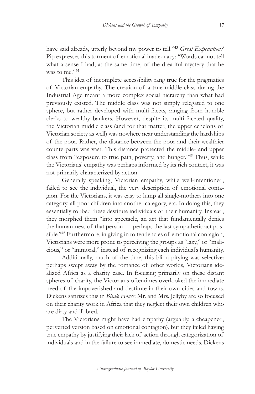have said already, utterly beyond my power to tell."<sup>43</sup> *Great Expectations*' Pip expresses this torment of emotional inadequacy: "Words cannot tell what a sense I had, at the same time, of the dreadful mystery that he was to me."<sup>44</sup>

This idea of incomplete accessibility rang true for the pragmatics of Victorian empathy. The creation of a true middle class during the Industrial Age meant a more complex social hierarchy than what had previously existed. The middle class was not simply relegated to one sphere, but rather developed with multi-facets, ranging from humble clerks to wealthy bankers. However, despite its multi-faceted quality, the Victorian middle class (and for that matter, the upper echelons of Victorian society as well) was nowhere near understanding the hardships of the poor. Rather, the distance between the poor and their wealthier counterparts was vast. This distance protected the middle- and upper class from "exposure to true pain, poverty, and hunger."<sup>45</sup> Thus, while the Victorians' empathy was perhaps informed by its rich context, it was not primarily characterized by action.

Generally speaking, Victorian empathy, while well-intentioned, failed to see the individual, the very description of emotional contagion. For the Victorians, it was easy to lump all single-mothers into one category, all poor children into another category, etc. In doing this, they essentially robbed these destitute individuals of their humanity. Instead, they morphed them "into spectacle, an act that fundamentally denies the human-ness of that person . . . perhaps the last sympathetic act possible."<sup>46</sup> Furthermore, in giving in to tendencies of emotional contagion, Victorians were more prone to perceiving the groups as "lazy," or "malicious," or "immoral," instead of recognizing each individual's humanity.

Additionally, much of the time, this blind pitying was selective: perhaps swept away by the romance of other worlds, Victorians idealized Africa as a charity case. In focusing primarily on these distant spheres of charity, the Victorians oftentimes overlooked the immediate need of the impoverished and destitute in their own cities and towns. Dickens satirizes this in *Bleak House*: Mr. and Mrs. Jellyby are so focused on their charity work in Africa that they neglect their own children who are dirty and ill-bred.

The Victorians might have had empathy (arguably, a cheapened, perverted version based on emotional contagion), but they failed having true empathy by justifying their lack of action through categorization of individuals and in the failure to see immediate, domestic needs. Dickens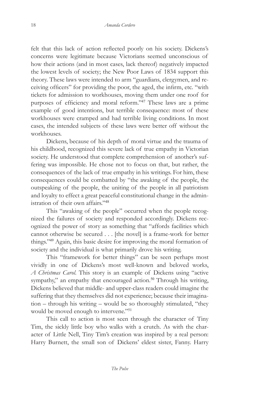felt that this lack of action reflected poorly on his society. Dickens's concerns were legitimate because Victorians seemed unconscious of how their actions (and in most cases, lack thereof) negatively impacted the lowest levels of society; the New Poor Laws of 1834 support this theory. These laws were intended to arm "guardians, clergymen, and receiving officers" for providing the poor, the aged, the infirm, etc. "with tickets for admission to workhouses, moving them under one roof for purposes of efficiency and moral reform."<sup>47</sup> These laws are a prime example of good intentions, but terrible consequence: most of these workhouses were cramped and had terrible living conditions. In most cases, the intended subjects of these laws were better off without the workhouses.

Dickens, because of his depth of moral virtue and the trauma of his childhood, recognized this severe lack of true empathy in Victorian society. He understood that complete comprehension of another's suffering was impossible. He chose not to focus on that, but rather, the consequences of the lack of true empathy in his writings. For him, these consequences could be combatted by "the awaking of the people, the outspeaking of the people, the uniting of the people in all patriotism and loyalty to effect a great peaceful constitutional change in the administration of their own affairs."<sup>48</sup>

This "awaking of the people" occurred when the people recognized the failures of society and responded accordingly. Dickens recognized the power of story as something that "affords facilities which cannot otherwise be secured . . . [the novel] is a frame-work for better things."<sup>49</sup> Again, this basic desire for improving the moral formation of society and the individual is what primarily drove his writing.

This "framework for better things" can be seen perhaps most vividly in one of Dickens's most well-known and beloved works, *A Christmas Carol*. This story is an example of Dickens using "active sympathy," an empathy that encouraged action.<sup>50</sup> Through his writing, Dickens believed that middle- and upper-class readers could imagine the suffering that they themselves did not experience; because their imagination – through his writing – would be so thoroughly stimulated, "they would be moved enough to intervene."<sup>51</sup>

This call to action is most seen through the character of Tiny Tim, the sickly little boy who walks with a crutch. As with the character of Little Nell, Tiny Tim's creation was inspired by a real person: Harry Burnett, the small son of Dickens' eldest sister, Fanny. Harry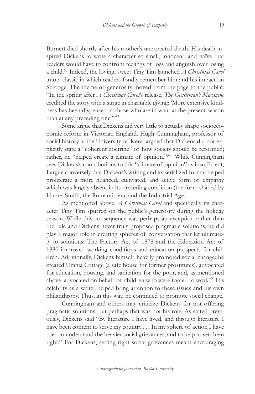Burnett died shortly after his mother's unexpected death. His death inspired Dickens to write a character so small, innocent, and naïve that readers would have to confront feelings of loss and anguish over losing a child.<sup>52</sup> Indeed, the loving, sweet Tiny Tim launched *A Christmas Carol* into a classic in which readers fondly remember him and his impact on Scrooge. The theme of generosity moved from the page to the public: "In the spring after *A Christmas Carol*'s release, *The Gentleman's Magazine* credited the story with a surge in charitable giving: 'More extensive kindness has been dispensed to those who are in want at the present season than at any preceding one."<sup>53</sup>

Some argue that Dickens did very little to actually shape socioeconomic reform in Victorian England. Hugh Cunningham, professor of social history at the University of Kent, argued that Dickens did not explicitly state a "coherent doctrine" of how society should be reformed; rather, he "helped create a climate of opinion."<sup>54</sup> While Cunningham sees Dickens's contributions to this "climate of opinion" as insufficient, I argue conversely that Dickens's writing and its serialized format helped proliferate a more nuanced, cultivated, and active form of empathy which was largely absent in its preceding condition (the form shaped by Hume, Smith, the Romantic era, and the Industrial Age).

As mentioned above, *A Christmas Carol* and specifically its character Tiny Tim spurred on the public's generosity during the holiday season. While this consequence was perhaps an exception rather than the rule and Dickens never truly proposed pragmatic solutions, he did play a major role in creating spheres of conversation that let ultimately to solutions: The Factory Act of 1878 and the Education Act of 1880 improved working conditions and education prospects for children. Additionally, Dickens himself heavily promoted social change: he created Urania Cottage (a safe house for former prostitutes), advocated for education, housing, and sanitation for the poor, and, as mentioned above, advocated on behalf of children who were forced to work.<sup>55</sup> His celebrity as a writer helped bring attention to these issues and his own philanthropy. Thus, in this way, he continued to promote social change.

Cunningham and others may criticize Dickens for not offering pragmatic solutions, but perhaps that was not his role. As stated previously, Dickens said "By literature I have lived, and through literature I have been content to serve my country . . . In my sphere of action I have tried to understand the heavier social grievances, and to help to set them right." For Dickens, setting right social grievances meant encouraging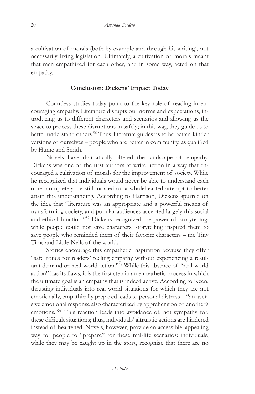a cultivation of morals (both by example and through his writing), not necessarily fixing legislation. Ultimately, a cultivation of morals meant that men empathized for each other, and in some way, acted on that empathy.

#### **Conclusion: Dickens' Impact Today**

Countless studies today point to the key role of reading in encouraging empathy. Literature disrupts our norms and expectations, introducing us to different characters and scenarios and allowing us the space to process these disruptions in safely; in this way, they guide us to better understand others.<sup>56</sup> Thus, literature guides us to be better, kinder versions of ourselves – people who are better in community, as qualified by Hume and Smith.

Novels have dramatically altered the landscape of empathy. Dickens was one of the first authors to write fiction in a way that encouraged a cultivation of morals for the improvement of society. While he recognized that individuals would never be able to understand each other completely, he still insisted on a wholehearted attempt to better attain this understanding. According to Harrison, Dickens spurred on the idea that "literature was an appropriate and a powerful means of transforming society, and popular audiences accepted largely this social and ethical function."<sup>57</sup> Dickens recognized the power of storytelling: while people could not save characters, storytelling inspired them to save people who reminded them of their favorite characters – the Tiny Tims and Little Nells of the world.

Stories encourage this empathetic inspiration because they offer "safe zones for readers' feeling empathy without experiencing a resultant demand on real-world action."<sup>58</sup> While this absence of "real-world action" has its flaws, it is the first step in an empathetic process in which the ultimate goal is an empathy that is indeed active. According to Keen, thrusting individuals into real-world situations for which they are not emotionally, empathically prepared leads to personal distress – "an aversive emotional response also characterized by apprehension of another's emotions."<sup>59</sup> This reaction leads into avoidance of, not sympathy for, these difficult situations; thus, individuals' altruistic actions are hindered instead of heartened. Novels, however, provide an accessible, appealing way for people to "prepare" for these real-life scenarios: individuals, while they may be caught up in the story, recognize that there are no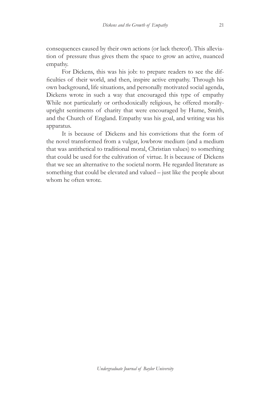consequences caused by their own actions (or lack thereof). This alleviation of pressure thus gives them the space to grow an active, nuanced empathy.

For Dickens, this was his job: to prepare readers to see the difficulties of their world, and then, inspire active empathy. Through his own background, life situations, and personally motivated social agenda, Dickens wrote in such a way that encouraged this type of empathy While not particularly or orthodoxically religious, he offered morallyupright sentiments of charity that were encouraged by Hume, Smith, and the Church of England. Empathy was his goal, and writing was his apparatus.

It is because of Dickens and his convictions that the form of the novel transformed from a vulgar, lowbrow medium (and a medium that was antithetical to traditional moral, Christian values) to something that could be used for the cultivation of virtue. It is because of Dickens that we see an alternative to the societal norm. He regarded literature as something that could be elevated and valued – just like the people about whom he often wrote.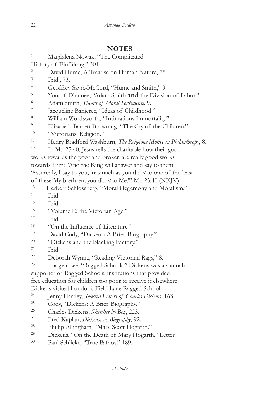**NOTES** 1 Magdalena Nowak, "The Complicated History of Einfülung," 301. <sup>2</sup> David Hume, A Treatise on Human Nature, 75. 3 Ibid., 73. <sup>4</sup> Geoffrey Sayre-McCord, "Hume and Smith," 9.<br><sup>5</sup> Yousuf Dhamee, "Adam Smith and the Division of Labor." 6 Adam Smith, *Theory of Moral Sentiments,* 9. 7 Jacqueline Banjeree, "Ideas of Childhood." <sup>8</sup> William Wordsworth, "Intimations Immortality."<br><sup>9</sup> Elizabeth Barrett Browning, "The Cry of the Children." 10 "Victorians: Religion." 11 Henry Bradford Washburn, *The Religious Motive in Philanthropy*, 8. 12 In Mt. 25:40, Jesus tells the charitable how their good works towards the poor and broken are really good works towards Him: "And the King will answer and say to them, 'Assuredly, I say to you, inasmuch as you did *it* to one of the least of these My brethren, you did *it* to Me.'" Mt. 25:40 (NKJV) 13 Herbert Schlossberg, "Moral Hegemony and Moralism." 14 Ibid. <sup>15</sup> Ibid.<br><sup>16</sup> "Volume E: the Victorian Age." <sup>17</sup> Ibid.<br><sup>18</sup> "On the Influence of Literature." 19 David Cody, "Dickens: A Brief Biography." 20 "Dickens and the Blacking Factory." 21 Ibid. 22 Deborah Wynne, "Reading Victorian Rags," 8. 23 Imogen Lee, "Ragged Schools." Dickens was a staunch supporter of Ragged Schools, institutions that provided free education for children too poor to receive it elsewhere. Dickens visited London's Field Lane Ragged School. 24 Jenny Hartley, *Selected Letters of Charles Dickens*, 163. 25 Cody, "Dickens: A Brief Biography." 26 Charles Dickens, *Sketches by Boz*, 223. 27 Fred Kaplan, *Dickens: A Biography*, 92. 28 Phillip Allingham, "Mary Scott Hogarth." 29 Dickens, "On the Death of Mary Hogarth," Letter. 30 Paul Schlicke, "True Pathos," 189.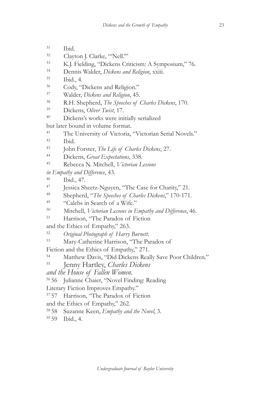- 31 Ibid.
- 32 Clayton J. Clarke, "'Nell.'"
- 33 K.J. Fielding, "Dickens Criticism: A Symposium," 76.
- 34 Dennis Walder, *Dickens and Religion*, xxiii.
- 
- $^{35}$  Ibid., 4.<br> $^{36}$  Cody, "Dickens and Religion."
- 37 Walder, *Dickens and Religion*, 45.
- 38 R.H. Shepherd, *The Speeches of Charles Dickens*, 170.
- 39 Dickens, *Oliver Twist*, 17.
- 40 Dickens's works were initially serialized

but later bound in volume format.

- 41 The University of Victoria, "Victorian Serial Novels."
- 42 Ibid.
- 43 John Forster, *The Life of Charles Dickens*, 27.
- 44 Dickens, *Great Expectations*, 338.
- 45 Rebecca N. Mitchell, *Victorian Lessons*
- *in Empathy and Difference*, 43.
- 46 Ibid., 47.
- 47 Jessica Sheetz-Nguyen, "The Case for Charity," 21.
- 48 Shepherd, "*The Speeches of Charles Dickens*," 170-171.
- 
- 49 "Calebs in Search of a Wife." 50 Mitchell, *Victorian Lessons in Empathy and Difference*, 46.
- 51 Harrison, "The Paradox of Fiction
- and the Ethics of Empathy," 263.
- <sup>52</sup>*Original Photograph of Harry Burnett*.
- 53 Mary-Catherine Harrison, "The Paradox of
- Fiction and the Ethics of Empathy," 271.
- 54 Matthew Davis, "Did Dickens Really Save Poor Children." 55 Jenny Hartley, *Charles Dickens*
- 
- *and the House of Fallen Women.*
- 56 56 Julianne Chaiet, "Novel Finding: Reading
- Literary Fiction Improves Empathy."
- 57 57 Harrison, "The Paradox of Fiction
- and the Ethics of Empathy," 262.
- 58 58 Suzanne Keen, *Empathy and the Novel*, 3.
- 59 59 Ibid., 4.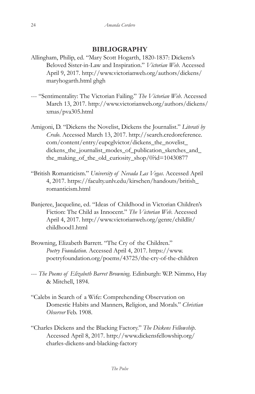## **BIBLIOGRAPHY**

- Allingham, Philip, ed. "Mary Scott Hogarth, 1820-1837: Dickens's Beloved Sister-in-Law and Inspiration." *Victorian Web*. Accessed April 9, 2017. http://www.victorianweb.org/authors/dickens/ maryhogarth.html ghgh
- --- "Sentimentality: The Victorian Failing." *The Victorian Web*. Accessed March 13, 2017. http://www.victorianweb.org/authors/dickens/ xmas/pva305.html
- Amigoni, D. "Dickens the Novelist, Dickens the Journalist." *Literati by Credo*. Accessed March 13, 2017. http://search.credoreference. com/content/entry/eupcglvictor/dickens\_the\_novelist\_ dickens the journalist modes of publication sketches and the\_making\_of\_the\_old\_curiosity\_shop/0?id=10430877
- "British Romanticism." *University of Nevada Las Vegas*. Accessed April 4, 2017. https://faculty.unlv.edu/kirschen/handouts/british\_ romanticism.html
- Banjeree, Jacqueline, ed. "Ideas of Childhood in Victorian Children's Fiction: The Child as Innocent." *The Victorian Web*. Accessed April 4, 2017. http://www.victorianweb.org/genre/childlit/ childhood1.html
- Browning, Elizabeth Barrett. "The Cry of the Children." *Poetry Foundation*. Accessed April 4, 2017. https://www. poetryfoundation.org/poems/43725/the-cry-of-the-children
- --- *The Poems of Elizabeth Barret Browning.* Edinburgh: W.P. Nimmo, Hay & Mitchell, 1894.
- "Calebs in Search of a Wife: Comprehending Observation on Domestic Habits and Manners, Religion, and Morals." *Christian Observer* Feb. 1908.
- "Charles Dickens and the Blacking Factory." *The Dickens Fellowship*. Accessed April 8, 2017. http://www.dickensfellowship.org/ charles-dickens-and-blacking-factory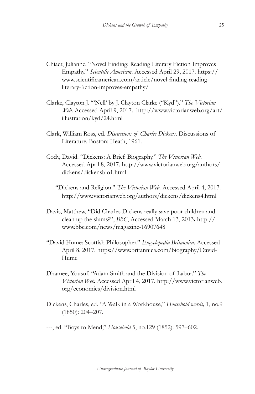- Chiaet, Julianne. "Novel Finding: Reading Literary Fiction Improves Empathy." *Scientific American*. Accessed April 29, 2017. https:// www.scientificamerican.com/article/novel-finding-readingliterary-fiction-improves-empathy/
- Clarke, Clayton J. "'Nell' by J. Clayton Clarke ("Kyd")." *The Victorian Web*. Accessed April 9, 2017. http://www.victorianweb.org/art/ illustration/kyd/24.html
- Clark, William Ross, ed. *Discussions of Charles Dickens*. Discussions of Literature. Boston: Heath, 1961.
- Cody, David. "Dickens: A Brief Biography." *The Victorian Web*. Accessed April 8, 2017. http://www.victorianweb.org/authors/ dickens/dickensbio1.html
- ---. "Dickens and Religion." *The Victorian Web*. Accessed April 4, 2017. http://www.victorianweb.org/authors/dickens/dickens4.html
- Davis, Matthew, "Did Charles Dickens really save poor children and clean up the slums?", *BBC*, Accessed March 13, 2013**.** http:// www.bbc.com/news/magazine-16907648
- "David Hume: Scottish Philosopher." *Encyclopedia Britannica*. Accessed April 8, 2017. https://www.britannica.com/biography/David-Hume
- Dhamee, Yousuf. "Adam Smith and the Division of Labor." *The Victorian Web.* Accessed April 4, 2017. http://www.victorianweb. org/economics/division.html
- Dickens, Charles, ed. "A Walk in a Workhouse," *Household words,* 1, no.9 (1850): 204–207.
- ---, ed. "Boys to Mend," *Household* 5, no.129 (1852): 597–602.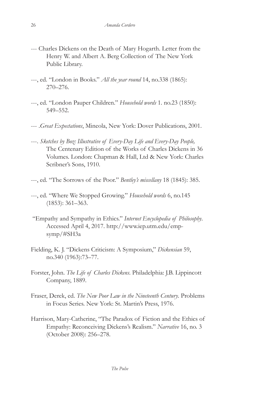- --- Charles Dickens on the Death of Mary Hogarth. Letter from the Henry W. and Albert A. Berg Collection of The New York Public Library.
- ---, ed. "London in Books." *All the year round* 14, no.338 (1865): 270–276.
- ---, ed. "London Pauper Children." *Household words* 1. no.23 (1850): 549–552.
- --- .*Great Expectations*, Mineola, New York: Dover Publications, 2001.
- ---. *Sketches by Boz: Illustrative of Every-Day Life and Every-Day People,*  The Centenary Edition of the Works of Charles Dickens in 36 Volumes. London: Chapman & Hall, Ltd & New York: Charles Scribner's Sons, 1910.
- ---, ed. "The Sorrows of the Poor." *Bentley's miscellany* 18 (1845): 385.
- ---, ed. "Where We Stopped Growing." *Household words* 6, no.145 (1853): 361–363.
- "Empathy and Sympathy in Ethics." *Internet Encyclopedia of Philosophy*. Accessed April 4, 2017. http://www.iep.utm.edu/empsymp/#SH3a
- Fielding, K. J. "Dickens Criticism: A Symposium," *Dickensian* 59, no.340 (1963):73–77.
- Forster, John. *The Life of Charles Dickens*. Philadelphia: J.B. Lippincott Company, 1889.
- Fraser, Derek, ed. *The New Poor Law in the Nineteenth Century*. Problems in Focus Series. New York: St. Martin's Press, 1976.
- Harrison, Mary-Catherine, "The Paradox of Fiction and the Ethics of Empathy: Reconceiving Dickens's Realism." *Narrative* 16, no. 3 (October 2008): 256–278.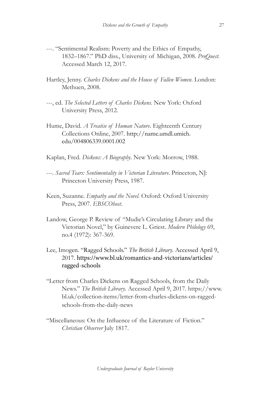- ---. "Sentimental Realism: Poverty and the Ethics of Empathy, 1832–1867." PhD diss., University of Michigan, 2008. *ProQuest*. Accessed March 12, 2017.
- Hartley, Jenny. *Charles Dickens and the House of Fallen Women*. London: Methuen, 2008.
- ---, ed. *The Selected Letters of Charles Dickens*. New York: Oxford University Press, 2012.
- Hume, David. *A Treatise of Human Nature*. Eighteenth Century Collections Online, 2007. http://name.umdl.umich. edu/004806339.0001.002
- Kaplan, Fred. *Dickens: A Biography*. New York: Morrow, 1988.
- ---. *Sacred Tears: Sentimentality in Victorian Literature*. Princeton, NJ: Princeton University Press, 1987.
- Keen, Suzanne. *Empathy and the Novel*. Oxford: Oxford University Press, 2007. *EBSCOhost*.
- Landow, George P. Review of "Mudie's Circulating Library and the Victorian Novel," by Guinevere L. Griest. *Modern Philology* 69, no.4 (1972): 367-369.
- Lee, Imogen. "Ragged Schools." *The British Library*. Accessed April 9, 2017. https://www.bl.uk/romantics-and-victorians/articles/ ragged-schools
- "Letter from Charles Dickens on Ragged Schools, from the Daily News." *The British Library*. Accessed April 9, 2017. https://www. bl.uk/collection-items/letter-from-charles-dickens-on-raggedschools-from-the-daily-news
- "Miscellaneous: On the Influence of the Literature of Fiction." *Christian Observer* July 1817.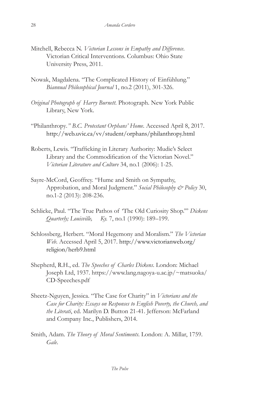- Mitchell, Rebecca N. *Victorian Lessons in Empathy and Difference*. Victorian Critical Interventions. Columbus: Ohio State University Press, 2011.
- Nowak, Magdalena. "The Complicated History of Einfühlung." *Biannual Philosophical Journal* 1, no.2 (2011), 301-326.
- *Original Photograph of Harry Burnett*. Photograph. New York Public Library, New York.
- "Philanthropy*." B.C. Protestant Orphans' Home*. Accessed April 8, 2017. http://web.uvic.ca/vv/student/orphans/philanthropy.html
- Roberts, Lewis. "Trafficking in Literary Authority: Mudie's Select Library and the Commodification of the Victorian Novel." *Victorian Literature and Culture* 34, no.1 (2006): 1-25.
- Sayre-McCord, Geoffrey. "Hume and Smith on Sympathy, Approbation, and Moral Judgment." *Social Philosophy & Policy* 30, no.1-2 (2013): 208-236.
- Schlicke, Paul. "The True Pathos of 'The Old Curiosity Shop.'" *Dickens Quarterly; Louisville, Ky.* 7, no.1 (1990): 189–199.
- Schlossberg, Herbert. "Moral Hegemony and Moralism." *The Victorian Web*. Accessed April 5, 2017. http://www.victorianweb.org/ religion/herb9.html
- Shepherd, R.H., ed. *The Speeches of Charles Dickens*. London: Michael Joseph Ltd, 1937. https://www.lang.nagoya-u.ac.jp/~matsuoka/ CD-Speeches.pdf
- Sheetz-Nguyen, Jessica. "The Case for Charity" in *Victorians and the Case for Charity: Essays on Responses to English Poverty, the Church, and the Literati*, ed. Marilyn D. Button 21-41. Jefferson: McFarland and Company Inc., Publishers, 2014.
- Smith, Adam. *The Theory of Moral Sentiments*. London: A. Millar, 1759. *Gale*.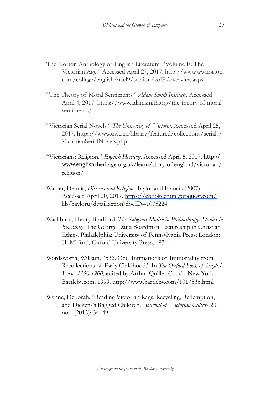- The Norton Anthology of English Literature. "Volume E: The Victorian Age." Accessed April 27, 2017. http://www.wwnorton. com/college/english/nael9/section/volE/overview.aspx
- "The Theory of Moral Sentiments." *Adam Smith Institute*. Accessed April 4, 2017. https://www.adamsmith.org/the-theory-of-moralsentiments/
- "Victorian Serial Novels." *The University of Victoria*. Accessed April 25, 2017. https://www.uvic.ca/library/featured/collections/serials/ VictorianSerialNovels.php
- "Victorians: Religion." *English Heritage*. Accessed April 5, 2017. http:// www.english-heritage.org.uk/learn/story-of-england/victorian/ religion/
- Walder, Dennis, *Dickens and Religion*. Taylor and Francis (2007). Accessed April 20, 2017. https://ebookcentral.proquest.com/ lib/bayloru/detail.action?docID=1075224
- Washburn, Henry Bradford. *The Religious Motive in Philanthropy: Studies in Biography*. The George Dana Boardman Lectureship in Christian Ethics. Philadelphia: University of Pennsylvania Press; London: H. Milford, Oxford University Press**,** 1931.
- Wordsworth, William. "536. Ode. Intimations of Immortality from Recollections of Early Childhood." In *The Oxford Book of English Verse: 1250-1900*, edited by Arthur Quiller-Couch. New York: Bartleby.com, 1999. http://www.bartleby.com/101/536.html
- Wynne, Deborah. "Reading Victorian Rags: Recycling, Redemption, and Dickens's Ragged Children." *Journal of Victorian Culture* 20, no.1 (2015): 34–49.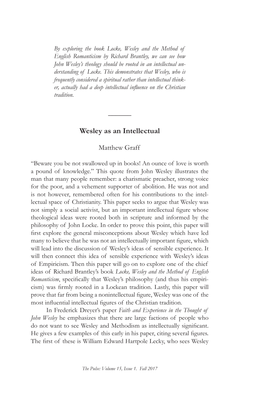*By exploring the book Locke, Wesley and the Method of English Romanticism by Richard Brantley, we can see how John Wesley's theology should be rooted in an intellectual understanding of Locke. This demonstrates that Wesley, who is frequently considered a spiritual rather than intellectual thinker, actually had a deep intellectual influence on the Christian tradition.*

## **Wesley as an Intellectual**

**\_\_\_\_\_\_**

#### Matthew Graff

"Beware you be not swallowed up in books! An ounce of love is worth a pound of knowledge." This quote from John Wesley illustrates the man that many people remember: a charismatic preacher, strong voice for the poor, and a vehement supporter of abolition. He was not and is not however, remembered often for his contributions to the intellectual space of Christianity. This paper seeks to argue that Wesley was not simply a social activist, but an important intellectual figure whose theological ideas were rooted both in scripture and informed by the philosophy of John Locke. In order to prove this point, this paper will first explore the general misconceptions about Wesley which have led many to believe that he was not an intellectually important figure, which will lead into the discussion of Wesley's ideas of sensible experience. It will then connect this idea of sensible experience with Wesley's ideas of Empiricism. Then this paper will go on to explore one of the chief ideas of Richard Brantley's book *Locke, Wesley and the Method of English Romanticism*, specifically that Wesley's philosophy (and thus his empiricism) was firmly rooted in a Lockean tradition. Lastly, this paper will prove that far from being a nonintellectual figure, Wesley was one of the most influential intellectual figures of the Christian tradition.

In Frederick Dreyer's paper *Faith and Experience in the Thought of John Wesley* he emphasizes that there are large factions of people who do not want to see Wesley and Methodism as intellectually significant. He gives a few examples of this early in his paper, citing several figures. The first of these is William Edward Hartpole Lecky, who sees Wesley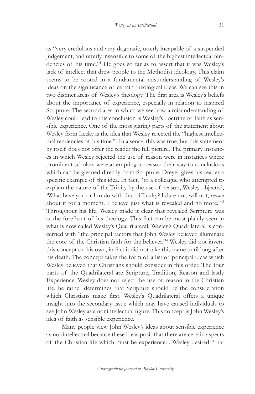as "very credulous and very dogmatic, utterly incapable of a suspended judgement, and utterly insensible to some of the highest intellectual tendencies of his time."1 He goes so far as to assert that it was Wesley's lack of intellect that drew people to the Methodist ideology. This claim seems to be rooted in a fundamental misunderstanding of Wesley's ideas on the significance of certain theological ideas. We can see this in two distinct areas of Wesley's theology. The first area is Wesley's beliefs about the importance of experience, especially in relation to inspired Scripture. The second area in which we see how a misunderstanding of Wesley could lead to this conclusion is Wesley's doctrine of faith as sensible experience. One of the most glaring parts of the statement about Wesley from Lecky is the idea that Wesley rejected the "highest intellectual tendencies of his time."2 In a sense, this was true, but this statement by itself does not offer the reader the full picture. The primary instances in which Wesley rejected the use of reason were in instances where prominent scholars were attempting to reason their way to conclusions which can be gleaned directly from Scripture. Dreyer gives his reader a specific example of this idea. In fact, "to a colleague who attempted to explain the nature of the Trinity by the use of reason, Wesley objected, 'What have you or I to do with that difficulty? I dare not, will not, *reason*  about it for a moment. I believe just what is revealed and no more.'"3 Throughout his life, Wesley made it clear that revealed Scripture was at the forefront of his theology. This fact can be most plainly seen in what is now called Wesley's Quadrilateral. Wesley's Quadrilateral is concerned with "the principal factors that John Wesley believed illuminate the core of the Christian faith for the believer."4 Wesley did not invent this concept on his own, in fact it did not take this name until long after his death. The concept takes the form of a list of principal ideas which Wesley believed that Christians should consider in this order. The four parts of the Quadrilateral are Scripture, Tradition, Reason and lastly Experience. Wesley does not reject the use of reason in the Christian life, he rather determines that Scripture should be the consideration which Christians make first. Wesley's Quadrilateral offers a unique insight into the secondary issue which may have caused individuals to see John Wesley as a nonintellectual figure. This concept is John Wesley's idea of faith as sensible experience.

Many people view John Wesley's ideas about sensible experience as nonintellectual because these ideas posit that there are certain aspects of the Christian life which must be experienced. Wesley desired "that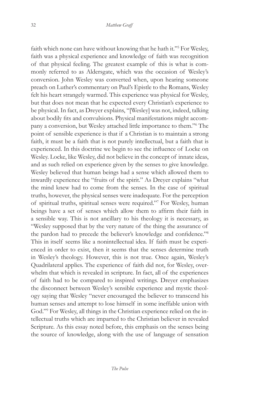faith which none can have without knowing that he hath it."<sup>5</sup> For Wesley, faith was a physical experience and knowledge of faith was recognition of that physical feeling. The greatest example of this is what is commonly referred to as Aldersgate, which was the occasion of Wesley's conversion. John Wesley was converted when, upon hearing someone preach on Luther's commentary on Paul's Epistle to the Romans, Wesley felt his heart strangely warmed. This experience was physical for Wesley, but that does not mean that he expected every Christian's experience to be physical. In fact, as Dreyer explains, "[Wesley] was not, indeed, talking about bodily fits and convulsions. Physical manifestations might accompany a conversion, but Wesley attached little importance to them."6 The point of sensible experience is that if a Christian is to maintain a strong faith, it must be a faith that is not purely intellectual, but a faith that is experienced. In this doctrine we begin to see the influence of Locke on Wesley. Locke, like Wesley, did not believe in the concept of innate ideas, and as such relied on experience given by the senses to give knowledge. Wesley believed that human beings had a sense which allowed them to inwardly experience the "fruits of the spirit." As Dreyer explains "what the mind knew had to come from the senses. In the case of spiritual truths, however, the physical senses were inadequate. For the perception of spiritual truths, spiritual senses were required."7 For Wesley, human beings have a set of senses which allow them to affirm their faith in a sensible way. This is not ancillary to his theology it is necessary, as "Wesley supposed that by the very nature of the thing the assurance of the pardon had to precede the believer's knowledge and confidence."<sup>8</sup> This in itself seems like a nonintellectual idea. If faith must be experienced in order to exist, then it seems that the senses determine truth in Wesley's theology. However, this is not true. Once again, Wesley's Quadrilateral applies. The experience of faith did not, for Wesley, overwhelm that which is revealed in scripture. In fact, all of the experiences of faith had to be compared to inspired writings. Dreyer emphasizes the disconnect between Wesley's sensible experience and mystic theology saying that Wesley "never encouraged the believer to transcend his human senses and attempt to lose himself in some ineffable union with God."9 For Wesley, all things in the Christian experience relied on the intellectual truths which are imparted to the Christian believer in revealed Scripture. As this essay noted before, this emphasis on the senses being the source of knowledge, along with the use of language of sensation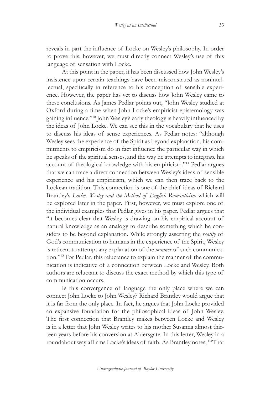reveals in part the influence of Locke on Wesley's philosophy. In order to prove this, however, we must directly connect Wesley's use of this language of sensation with Locke.

At this point in the paper, it has been discussed how John Wesley's insistence upon certain teachings have been misconstrued as nonintellectual, specifically in reference to his conception of sensible experience. However, the paper has yet to discuss how John Wesley came to these conclusions. As James Pedlar points out, "John Wesley studied at Oxford during a time when John Locke's empiricist epistemology was gaining influence."<sup>10</sup> John Wesley's early theology is heavily influenced by the ideas of John Locke. We can see this in the vocabulary that he uses to discuss his ideas of sense experiences. As Pedlar notes: "although Wesley sees the experience of the Spirit as beyond explanation, his commitments to empiricism do in fact influence the particular way in which he speaks of the spiritual senses, and the way he attempts to integrate his account of theological knowledge with his empiricism."11 Pedlar argues that we can trace a direct connection between Wesley's ideas of sensible experience and his empiricism, which we can then trace back to the Lockean tradition. This connection is one of the chief ideas of Richard Brantley's *Locke, Wesley and the Method of English Romanticism* which will be explored later in the paper. First, however, we must explore one of the individual examples that Pedlar gives in his paper. Pedlar argues that "it becomes clear that Wesley is drawing on his empirical account of natural knowledge as an analogy to describe something which he considers to be beyond explanation. While strongly asserting the *reality* of God's communication to humans in the experience of the Spirit, Wesley is reticent to attempt any explanation of the *manner* of such communication."12 For Pedlar, this reluctance to explain the manner of the communication is indicative of a connection between Locke and Wesley. Both authors are reluctant to discuss the exact method by which this type of communication occurs.

Is this convergence of language the only place where we can connect John Locke to John Wesley? Richard Brantley would argue that it is far from the only place. In fact, he argues that John Locke provided an expansive foundation for the philosophical ideas of John Wesley. The first connection that Brantley makes between Locke and Wesley is in a letter that John Wesley writes to his mother Susanna almost thirteen years before his conversion at Aldersgate. In this letter, Wesley in a roundabout way affirms Locke's ideas of faith. As Brantley notes, "'That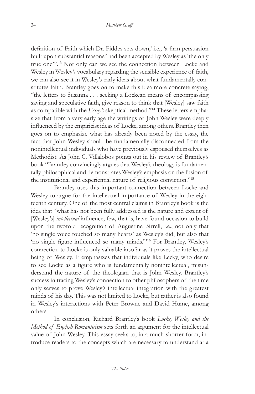definition of Faith which Dr. Fiddes sets down,' i.e., 'a firm persuasion built upon substantial reasons,' had been accepted by Wesley as 'the only true one'".13 Not only can we see the connection between Locke and Wesley in Wesley's vocabulary regarding the sensible experience of faith, we can also see it in Wesley's early ideas about what fundamentally constitutes faith. Brantley goes on to make this idea more concrete saying, "the letters to Susanna . . . seeking a Lockean means of encompassing saving and speculative faith, give reason to think that [Wesley] saw faith as compatible with the *Essay's* skeptical method."14 These letters emphasize that from a very early age the writings of John Wesley were deeply influenced by the empiricist ideas of Locke, among others. Brantley then goes on to emphasize what has already been noted by the essay, the fact that John Wesley should be fundamentally disconnected from the nonintellectual individuals who have previously espoused themselves as Methodist. As John C. Villalobos points out in his review of Brantley's book "Brantley convincingly argues that Wesley's theology is fundamentally philosophical and demonstrates Wesley's emphasis on the fusion of the institutional and experiential nature of religious conviction."15

Brantley uses this important connection between Locke and Wesley to argue for the intellectual importance of Wesley in the eighteenth century. One of the most central claims in Brantley's book is the idea that "what has not been fully addressed is the nature and extent of [Wesley's] *intellectual* influence; few, that is, have found occasion to build upon the twofold recognition of Augustine Birrell, i.e., not only that 'no single voice touched so many hearts' as Wesley's did, but also that 'no single figure influenced so many minds.'"16 For Brantley, Wesley's connection to Locke is only valuable insofar as it proves the intellectual being of Wesley. It emphasizes that individuals like Lecky, who desire to see Locke as a figure who is fundamentally nonintellectual, misunderstand the nature of the theologian that is John Wesley. Brantley's success in tracing Wesley's connection to other philosophers of the time only serves to prove Wesley's intellectual integration with the greatest minds of his day. This was not limited to Locke, but rather is also found in Wesley's interactions with Peter Browne and David Hume, among others.

In conclusion, Richard Brantley's book *Locke, Wesley and the Method of English Romanticism* sets forth an argument for the intellectual value of John Wesley. This essay seeks to, in a much shorter form, introduce readers to the concepts which are necessary to understand at a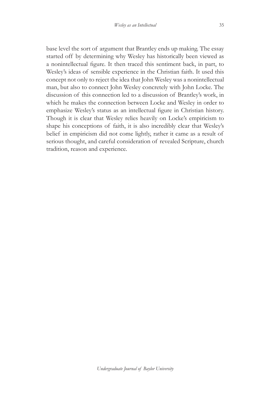base level the sort of argument that Brantley ends up making. The essay started off by determining why Wesley has historically been viewed as a nonintellectual figure. It then traced this sentiment back, in part, to Wesley's ideas of sensible experience in the Christian faith. It used this concept not only to reject the idea that John Wesley was a nonintellectual man, but also to connect John Wesley concretely with John Locke. The discussion of this connection led to a discussion of Brantley's work, in which he makes the connection between Locke and Wesley in order to emphasize Wesley's status as an intellectual figure in Christian history. Though it is clear that Wesley relies heavily on Locke's empiricism to shape his conceptions of faith, it is also incredibly clear that Wesley's belief in empiricism did not come lightly, rather it came as a result of serious thought, and careful consideration of revealed Scripture, church tradition, reason and experience.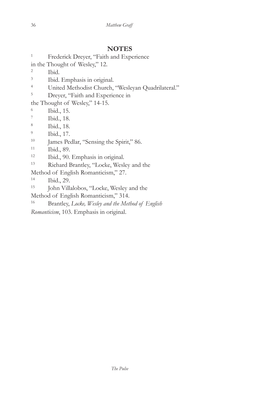# **NOTES**

<sup>1</sup> Frederick Dreyer, "Faith and Experience

in the Thought of Wesley," 12.

2 Ibid.

- 3 Ibid. Emphasis in original.
- 4 United Methodist Church, "Wesleyan Quadrilateral."

<sup>5</sup> Dreyer, "Faith and Experience in

the Thought of Wesley," 14-15.

- 6 Ibid., 15.
- 7 Ibid., 18.
- 8 Ibid., 18.
- 9 Ibid., 17.
- <sup>10</sup> James Pedlar, "Sensing the Spirit," 86.
- 11 Ibid., 89.
- 12 Ibid., 90. Emphasis in original.
- 13 Richard Brantley, "Locke, Wesley and the

Method of English Romanticism," 27.

14 Ibid., 29.

- 15 John Villalobos, "Locke, Wesley and the
- Method of English Romanticism," 314.
- 16 Brantley, *Locke, Wesley and the Method of English*

*Romanticism*, 103. Emphasis in original.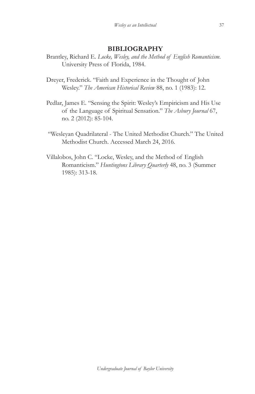### **BIBLIOGRAPHY**

- Brantley, Richard E. *Locke, Wesley, and the Method of English Romanticism*. University Press of Florida, 1984.
- Dreyer, Frederick. "Faith and Experience in the Thought of John Wesley." *The American Historical Review* 88, no. 1 (1983): 12.
- Pedlar, James E. "Sensing the Spirit: Wesley's Empiricism and His Use of the Language of Spiritual Sensation." *The Asbury Journal* 67, no. 2 (2012): 85-104.
- "Wesleyan Quadrilateral The United Methodist Church." The United Methodist Church. Accessed March 24, 2016.
- Villalobos, John C. "Locke, Wesley, and the Method of English Romanticism." *Huntingtons Library Quarterly* 48, no. 3 (Summer 1985): 313-18.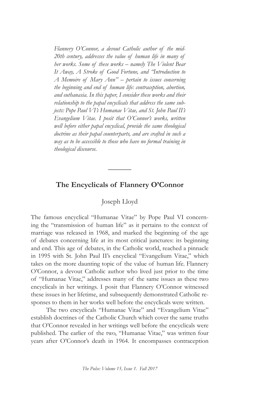*Flannery O'Connor, a devout Catholic author of the mid-20th century, addresses the value of human life in many of her works. Some of these works – namely The Violent Bear It Away, A Stroke of Good Fortune, and "Introduction to A Memoire of Mary Ann" – pertain to issues concerning the beginning and end of human life: contraception, abortion, and euthanasia. In this paper, I consider these works and their relationship to the papal encyclicals that address the same subjects: Pope Paul VI's Humanae Vitae, and St. John Paul II's Evangelium Vitae. I posit that O'Connor's works, written well before either papal encyclical, provide the same theological doctrine as their papal counterparts, and are crafted in such a way as to be accessible to those who have no formal training in theological discourse.*

# **The Encyclicals of Flannery O'Connor**

**\_\_\_\_\_\_**

### Joseph Lloyd

The famous encyclical "Humanae Vitae" by Pope Paul VI concerning the "transmission of human life" as it pertains to the context of marriage was released in 1968, and marked the beginning of the age of debates concerning life at its most critical junctures: its beginning and end. This age of debates, in the Catholic world, reached a pinnacle in 1995 with St. John Paul II's encyclical "Evangelium Vitae," which takes on the more daunting topic of the value of human life. Flannery O'Connor, a devout Catholic author who lived just prior to the time of "Humanae Vitae," addresses many of the same issues as these two encyclicals in her writings. I posit that Flannery O'Connor witnessed these issues in her lifetime, and subsequently demonstrated Catholic responses to them in her works well before the encyclicals were written.

The two encyclicals "Humanae Vitae" and "Evangelium Vitae" establish doctrines of the Catholic Church which cover the same truths that O'Connor revealed in her writings well before the encyclicals were published. The earlier of the two, "Humanae Vitae," was written four years after O'Connor's death in 1964. It encompasses contraception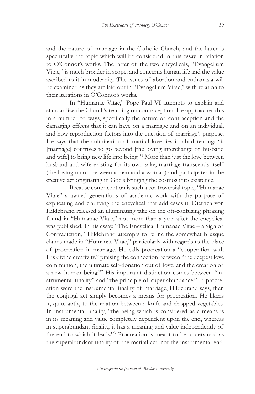and the nature of marriage in the Catholic Church, and the latter is specifically the topic which will be considered in this essay in relation to O'Connor's works. The latter of the two encyclicals, "Evangelium Vitae," is much broader in scope, and concerns human life and the value ascribed to it in modernity. The issues of abortion and euthanasia will be examined as they are laid out in "Evangelium Vitae," with relation to their iterations in O'Connor's works.

In "Humanae Vitae," Pope Paul VI attempts to explain and standardize the Church's teaching on contraception. He approaches this in a number of ways, specifically the nature of contraception and the damaging effects that it can have on a marriage and on an individual, and how reproduction factors into the question of marriage's purpose. He says that the culmination of marital love lies in child rearing: "it [marriage] contrives to go beyond [the loving interchange of husband and wife] to bring new life into being."<sup>1</sup> More than just the love between husband and wife existing for its own sake, marriage transcends itself (the loving union between a man and a woman) and participates in the creative act originating in God's bringing the cosmos into existence.

Because contraception is such a controversial topic, "Humanae Vitae" spawned generations of academic work with the purpose of explicating and clarifying the encyclical that addresses it. Dietrich von Hildebrand released an illuminating take on the oft-confusing phrasing found in "Humanae Vitae," not more than a year after the encyclical was published. In his essay, "The Encyclical Humanae Vitae – a Sign of Contradiction," Hildebrand attempts to refine the somewhat brusque claims made in "Humanae Vitae," particularly with regards to the place of procreation in marriage. He calls procreation a "cooperation with His divine creativity," praising the connection between "the deepest love communion, the ultimate self-donation out of love, and the creation of a new human being."<sup>2</sup> His important distinction comes between "instrumental finality" and "the principle of super abundance." If procreation were the instrumental finality of marriage, Hildebrand says, then the conjugal act simply becomes a means for procreation. He likens it, quite aptly, to the relation between a knife and chopped vegetables. In instrumental finality, "the being which is considered as a means is in its meaning and value completely dependent upon the end, whereas in superabundant finality, it has a meaning and value independently of the end to which it leads."<sup>3</sup> Procreation is meant to be understood as the superabundant finality of the marital act, not the instrumental end.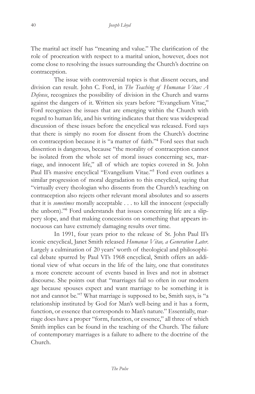The marital act itself has "meaning and value." The clarification of the role of procreation with respect to a marital union, however, does not come close to resolving the issues surrounding the Church's doctrine on contraception.

The issue with controversial topics is that dissent occurs, and division can result. John C. Ford, in *The Teaching of Humanae Vitae: A Defense*, recognizes the possibility of division in the Church and warns against the dangers of it. Written six years before "Evangelium Vitae," Ford recognizes the issues that are emerging within the Church with regard to human life, and his writing indicates that there was widespread discussion of these issues before the encyclical was released. Ford says that there is simply no room for dissent from the Church's doctrine on contraception because it is "a matter of faith."<sup>4</sup> Ford sees that such dissention is dangerous, because "the morality of contraception cannot be isolated from the whole set of moral issues concerning sex, marriage, and innocent life," all of which are topics covered in St. John Paul II's massive encyclical "Evangelium Vitae."<sup>5</sup> Ford even outlines a similar progression of moral degradation to this encyclical, saying that "virtually every theologian who dissents from the Church's teaching on contraception also rejects other relevant moral absolutes and so asserts that it is *sometimes* morally acceptable . . . to kill the innocent (especially the unborn)."<sup>6</sup> Ford understands that issues concerning life are a slippery slope, and that making concessions on something that appears innocuous can have extremely damaging results over time.

In 1991, four years prior to the release of St. John Paul II's iconic encyclical, Janet Smith released *Humanae Vitae, a Generation Later*. Largely a culmination of 20 years' worth of theological and philosophical debate spurred by Paul VI's 1968 encyclical, Smith offers an additional view of what occurs in the life of the laity, one that constitutes a more concrete account of events based in lives and not in abstract discourse. She points out that "marriages fail so often in our modern age because spouses expect and want marriage to be something it is not and cannot be."<sup>7</sup> What marriage is supposed to be, Smith says, is "a relationship instituted by God for Man's well-being and it has a form, function, or essence that corresponds to Man's nature." Essentially, marriage does have a proper "form, function, or essence," all three of which Smith implies can be found in the teaching of the Church. The failure of contemporary marriages is a failure to adhere to the doctrine of the Church.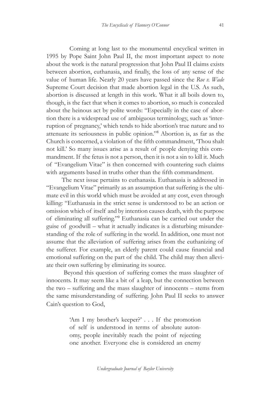Coming at long last to the monumental encyclical written in 1995 by Pope Saint John Paul II, the most important aspect to note about the work is the natural progression that John Paul II claims exists between abortion, euthanasia, and finally, the loss of any sense of the value of human life. Nearly 20 years have passed since the *Roe v. Wade* Supreme Court decision that made abortion legal in the U.S. As such, abortion is discussed at length in this work. What it all boils down to, though, is the fact that when it comes to abortion, so much is concealed about the heinous act by polite words: "Especially in the case of abortion there is a widespread use of ambiguous terminology, such as 'interruption of pregnancy,' which tends to hide abortion's true nature and to attenuate its seriousness in public opinion."<sup>8</sup> Abortion is, as far as the Church is concerned, a violation of the fifth commandment, 'Thou shalt not kill.' So many issues arise as a result of people denying this commandment. If the fetus is not a person, then it is not a sin to kill it. Much of "Evangelium Vitae" is then concerned with countering such claims with arguments based in truths other than the fifth commandment.

The next issue pertains to euthanasia. Euthanasia is addressed in "Evangelium Vitae" primarily as an assumption that suffering is the ultimate evil in this world which must be avoided at any cost, even through killing: "Euthanasia in the strict sense is understood to be an action or omission which of itself and by intention causes death, with the purpose of eliminating all suffering."<sup>9</sup> Euthanasia can be carried out under the guise of goodwill – what it actually indicates is a disturbing misunderstanding of the role of suffering in the world. In addition, one must not assume that the alleviation of suffering arises from the euthanizing of the sufferer. For example, an elderly parent could cause financial and emotional suffering on the part of the child. The child may then alleviate their own suffering by eliminating its source.

 Beyond this question of suffering comes the mass slaughter of innocents. It may seem like a bit of a leap, but the connection between the two – suffering and the mass slaughter of innocents – stems from the same misunderstanding of suffering. John Paul II seeks to answer Cain's question to God,

> 'Am I my brother's keeper?' . . . If the promotion of self is understood in terms of absolute autonomy, people inevitably reach the point of rejecting one another. Everyone else is considered an enemy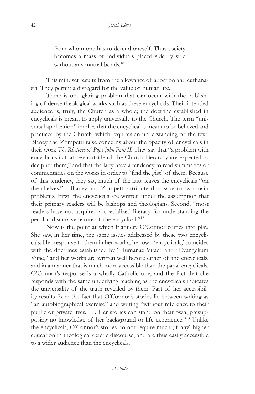from whom one has to defend oneself. Thus society becomes a mass of individuals placed side by side without any mutual bonds.<sup>10</sup>

This mindset results from the allowance of abortion and euthanasia. They permit a disregard for the value of human life.

There is one glaring problem that can occur with the publishing of dense theological works such as these encyclicals. Their intended audience is, truly, the Church as a whole; the doctrine established in encyclicals is meant to apply universally to the Church. The term "universal application" implies that the encyclical is meant to be believed and practiced by the Church, which requires an understanding of the text. Blaney and Zompetti raise concerns about the opacity of encyclicals in their work *The Rhetoric of Pope John Paul II.* They say that "a problem with encyclicals is that few outside of the Church hierarchy are expected to decipher them," and that the laity have a tendency to read summaries or commentaries on the works in order to "find the gist" of them. Because of this tendency, they say, much of the laity leaves the encyclicals "on the shelves."<sup>11</sup> Blaney and Zompetti attribute this issue to two main problems. First, the encyclicals are written under the assumption that their primary readers will be bishops and theologians. Second, "most readers have not acquired a specialized literacy for understanding the peculiar discursive nature of the encyclical."<sup>12</sup>

Now is the point at which Flannery O'Connor comes into play. She saw, in her time, the same issues addressed by these two encyclicals. Her response to them in her works, her own 'encyclicals,' coincides with the doctrines established by "Humanae Vitae" and "Evangelium Vitae," and her works are written well before either of the encyclicals, and in a manner that is much more accessible than the papal encyclicals. O'Connor's response is a wholly Catholic one, and the fact that she responds with the same underlying teaching as the encyclicals indicates the universality of the truth revealed by them. Part of her accessibility results from the fact that O'Connor's stories lie between writing as "an autobiographical exercise" and writing "without reference to their public or private lives. . . . Her stories can stand on their own, presupposing no knowledge of her background or life experience."<sup>13</sup> Unlike the encyclicals, O'Connor's stories do not require much (if any) higher education in theological deictic discourse, and are thus easily accessible to a wider audience than the encyclicals.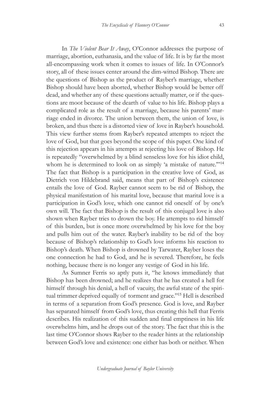43

In *The Violent Bear It Away*, O'Connor addresses the purpose of marriage, abortion, euthanasia, and the value of life. It is by far the most all-encompassing work when it comes to issues of life. In O'Connor's story, all of these issues center around the dim-witted Bishop. There are the questions of Bishop as the product of Rayber's marriage, whether Bishop should have been aborted, whether Bishop would be better off dead, and whether any of these questions actually matter, or if the questions are moot because of the dearth of value to his life. Bishop plays a complicated role as the result of a marriage, because his parents' marriage ended in divorce. The union between them, the union of love, is broken, and thus there is a distorted view of love in Rayber's household. This view further stems from Rayber's repeated attempts to reject the love of God, but that goes beyond the scope of this paper. One kind of this rejection appears in his attempts at rejecting his love of Bishop. He is repeatedly "overwhelmed by a blind senseless love for his idiot child, whom he is determined to look on as simply 'a mistake of nature."<sup>14</sup> The fact that Bishop is a participation in the creative love of God, as Dietrich von Hildebrand said, means that part of Bishop's existence entails the love of God. Rayber cannot seem to be rid of Bishop, the physical manifestation of his marital love, because that marital love is a participation in God's love, which one cannot rid oneself of by one's own will. The fact that Bishop is the result of this conjugal love is also shown when Rayber tries to drown the boy. He attempts to rid himself of this burden, but is once more overwhelmed by his love for the boy and pulls him out of the water. Rayber's inability to be rid of the boy because of Bishop's relationship to God's love informs his reaction to Bishop's death. When Bishop is drowned by Tarwater, Rayber loses the one connection he had to God, and he is severed. Therefore, he feels nothing, because there is no longer any vestige of God in his life.

As Sumner Ferris so aptly puts it, "he knows immediately that Bishop has been drowned; and he realizes that he has created a hell for himself through his denial, a hell of vacuity, the awful state of the spiritual trimmer deprived equally of torment and grace."<sup>15</sup> Hell is described in terms of a separation from God's presence. God is love, and Rayber has separated himself from God's love, thus creating this hell that Ferris describes. His realization of this sudden and final emptiness in his life overwhelms him, and he drops out of the story. The fact that this is the last time O'Connor shows Rayber to the reader hints at the relationship between God's love and existence: one either has both or neither. When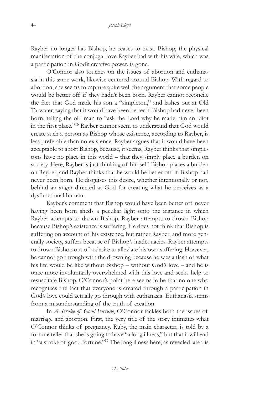Rayber no longer has Bishop, he ceases to exist. Bishop, the physical manifestation of the conjugal love Rayber had with his wife, which was a participation in God's creative power, is gone.

O'Connor also touches on the issues of abortion and euthanasia in this same work, likewise centered around Bishop. With regard to abortion, she seems to capture quite well the argument that some people would be better off if they hadn't been born. Rayber cannot reconcile the fact that God made his son a "simpleton," and lashes out at Old Tarwater, saying that it would have been better if Bishop had never been born, telling the old man to "ask the Lord why he made him an idiot in the first place."<sup>16</sup> Rayber cannot seem to understand that God would create such a person as Bishop whose existence, according to Rayber, is less preferable than no existence. Rayber argues that it would have been acceptable to abort Bishop, because, it seems, Rayber thinks that simpletons have no place in this world – that they simply place a burden on society. Here, Rayber is just thinking of himself. Bishop places a burden on Rayber, and Rayber thinks that he would be better off if Bishop had never been born. He disguises this desire, whether intentionally or not, behind an anger directed at God for creating what he perceives as a dysfunctional human.

Rayber's comment that Bishop would have been better off never having been born sheds a peculiar light onto the instance in which Rayber attempts to drown Bishop. Rayber attempts to drown Bishop because Bishop's existence is suffering. He does not think that Bishop is suffering on account of his existence, but rather Rayber, and more generally society, suffers because of Bishop's inadequacies. Rayber attempts to drown Bishop out of a desire to alleviate his own suffering. However, he cannot go through with the drowning because he sees a flash of what his life would be like without Bishop – without God's love – and he is once more involuntarily overwhelmed with this love and seeks help to resuscitate Bishop. O'Connor's point here seems to be that no one who recognizes the fact that everyone is created through a participation in God's love could actually go through with euthanasia. Euthanasia stems from a misunderstanding of the truth of creation.

In *A Stroke of Good Fortune*, O'Connor tackles both the issues of marriage and abortion. First, the very title of the story intimates what O'Connor thinks of pregnancy. Ruby, the main character, is told by a fortune teller that she is going to have "a long illness," but that it will end in "a stroke of good fortune."17 The long illness here, as revealed later, is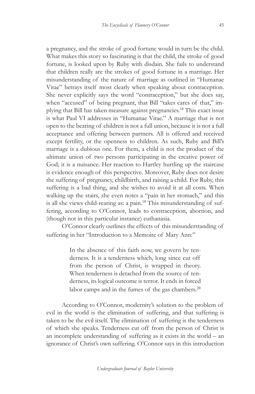a pregnancy, and the stroke of good fortune would in turn be the child. What makes this story so fascinating is that the child, the stroke of good fortune, is looked upon by Ruby with disdain. She fails to understand that children really are the strokes of good fortune in a marriage. Her misunderstanding of the nature of marriage as outlined in "Humanae Vitae" betrays itself most clearly when speaking about contraception. She never explicitly says the word "contraception," but she does say, when "accused" of being pregnant, that Bill "takes cares of that," implying that Bill has taken measure against pregnancies.<sup>18</sup> This exact issue is what Paul VI addresses in "Humanae Vitae." A marriage that is not open to the bearing of children is not a full union, because it is not a full acceptance and offering between partners. All is offered and received except fertility, or the openness to children. As such, Ruby and Bill's marriage is a dubious one. For them, a child is not the product of the ultimate union of two persons participating in the creative power of God; it is a nuisance. Her reaction to Hartley hurtling up the staircase is evidence enough of this perspective. Moreover, Ruby does not desire the suffering of pregnancy, childbirth, and raising a child. For Ruby, this suffering is a bad thing, and she wishes to avoid it at all costs. When walking up the stairs, she even notes a "pain in her stomach," and this is all she views child-rearing as: a pain.<sup>19</sup> This misunderstanding of suffering, according to O'Connor, leads to contraception, abortion, and (though not in this particular instance) euthanasia.

O'Connor clearly outlines the effects of this misunderstanding of suffering in her "Introduction to a Memoire of Mary Ann:"

> In the absence of this faith now, we govern by tenderness. It is a tenderness which, long since cut off from the person of Christ, is wrapped in theory. When tenderness is detached from the source of tenderness, its logical outcome is terror. It ends in forced labor camps and in the fumes of the gas chambers. $^{20}$

According to O'Connor, modernity's solution to the problem of evil in the world is the elimination of suffering, and that suffering is taken to be the evil itself. The elimination of suffering is the tenderness of which she speaks. Tenderness cut off from the person of Christ is an incomplete understanding of suffering as it exists in the world – an ignorance of Christ's own suffering. O'Connor says in this introduction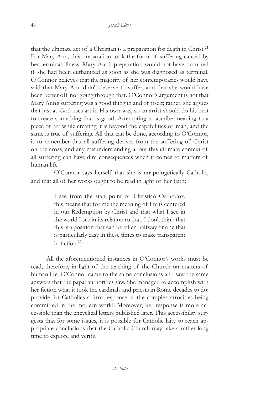that the ultimate act of a Christian is a preparation for death in Christ.<sup>21</sup> For Mary Ann, this preparation took the form of suffering caused by her terminal illness. Mary Ann's preparation would not have occurred if she had been euthanized as soon as she was diagnosed as terminal. O'Connor believes that the majority of her contemporaries would have said that Mary Ann didn't deserve to suffer, and that she would have been better off not going through that. O'Connor's argument is not that Mary Ann's suffering was a good thing in and of itself; rather, she argues that just as God uses art in His own way, so an artist should do his best to create something that is good. Attempting to ascribe meaning to a piece of art while creating it is beyond the capabilities of man, and the same is true of suffering. All that can be done, according to O'Connor, is to remember that all suffering derives from the suffering of Christ on the cross, and any misunderstanding about this ultimate context of all suffering can have dire consequences when it comes to matters of human life.

O'Connor says herself that she is unapologetically Catholic, and that all of her works ought to be read in light of her faith:

> I see from the standpoint of Christian Orthodox. this means that for me the meaning of life is centered in our Redemption by Christ and that what I see in the world I see in its relation to that. I don't think that this is a position that can be taken halfway or one that is particularly easy in these times to make transparent in fiction.<sup>22</sup>

All the aforementioned instances in O'Connor's works must be read, therefore, in light of the teaching of the Church on matters of human life. O'Connor came to the same conclusions and saw the same answers that the papal authorities saw. She managed to accomplish with her fiction what it took the cardinals and priests in Rome decades to do: provide for Catholics a firm response to the complex atrocities being committed in the modern world. Moreover, her response is more accessible than the encyclical letters published later. This accessibility suggests that for some issues, it is possible for Catholic laity to reach appropriate conclusions that the Catholic Church may take a rather long time to explore and verify.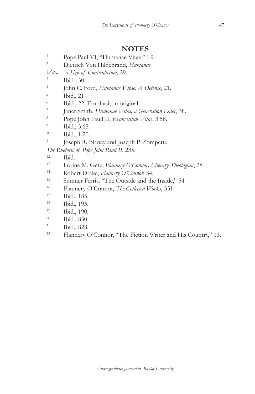## **NOTES**

<sup>1</sup> Pope Paul VI, "Humanae Vitae," I.9.<br><sup>2</sup> District Van Hildsbroad *Humana* 

- 2 Dietrich Von Hildebrand, *Humanae*
- *Vitae a Sign of Contradiction*, 29.
- 3 Ibid., 30.
- 4 John C. Ford, *Humanae Vitae: A Defense*, 21.
- 5 Ibid., 21
- 6 Ibid., 22. Emphasis in original.
- 7 Janet Smith, *Humanae Vitae, a Generation Later*, 38.
- 8 Pope John Paull II, *Evangelium Vitae*, 3.58.
- 9 Ibid., 3.65.
- 10 Ibid., 1.20.
- <sup>11</sup> Joseph R. Blaney and Joseph P. Zompetti,

*The Rhetoric of Pope John Paull II*, 235.

- 12 Ibid.
- 13 Lorine M. Getz, *Flannery O'Connor, Literary Theologian*, 28.
- 14 Robert Drake, *Flannery O'Connor*, 34.
- 15 Sumner Ferris, "The Outside and the Inside," 54.
- 16 Flannery O'Connor, *The Collected Works*, 351. 17 Ibid., 185.
- 
- 18 Ibid., 193.
- 19 Ibid., 190.
- 20 Ibid., 830.
- 21 Ibid., 828.
- 22 Flannery O'Connor, "The Fiction Writer and His Country," 13.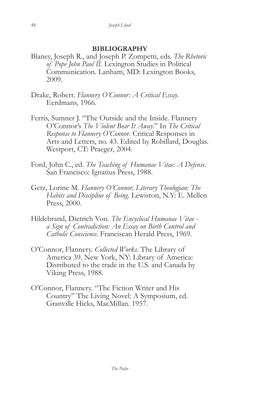# **BIBLIOGRAPHY**

- Blaney, Joseph R., and Joseph P. Zompetti, eds. *The Rhetoric of Pope John Paul II*. Lexington Studies in Political Communication. Lanham, MD: Lexington Books, 2009.
- Drake, Robert. *Flannery O'Connor: A Critical Essay*. Eerdmans, 1966.
- Ferris, Sumner J. "The Outside and the Inside. Flannery O'Connor's *The Violent Bear It Away*." In *The Critical Response to Flannery O'Connor*. Critical Responses in Arts and Letters, no. 43. Edited by Robillard, Douglas. Westport, CT: Praeger, 2004.
- Ford, John C., ed. *The Teaching of Humanae Vitae: A Defense*. San Francisco: Ignatius Press, 1988.
- Getz, Lorine M. *Flannery O'Connor, Literary Theologian: The Habits and Discipline of Being*. Lewiston, N.Y: E. Mellen Press, 2000.
- Hildebrand, Dietrich Von. *The Encyclical Humanae Vitae a Sign of Contradiction: An Essay on Birth Control and Catholic Conscience*. Franciscan Herald Press, 1969.
- O'Connor, Flannery. *Collected Works*. The Library of America 39. New York, NY: Library of America: Distributed to the trade in the U.S. and Canada by Viking Press, 1988.
- O'Connor, Flannery. "The Fiction Writer and His Country" The Living Novel: A Symposium, ed. Granville Hicks, MacMillan. 1957.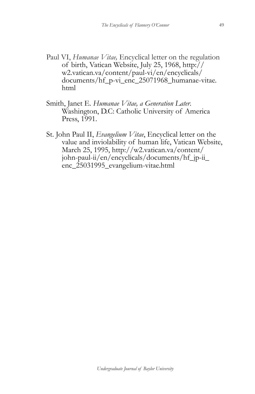- Paul VI, *Humanae Vitae*, *Encyclical letter* on the regulation of birth, Vatican Website, July 25, 1968, http:// w2.vatican.va/content/paul-vi/en/encyclicals/ documents/hf\_p-vi\_enc\_25071968\_humanae-vitae. html
- Smith, Janet E. *Humanae Vitae, a Generation Later*. Washington, D.C: Catholic University of America Press, 1991.
- St. John Paul II, *Evangelium Vitae*, Encyclical letter on the value and inviolability of human life, Vatican Website, March 25, 1995, http://w2.vatican.va/content/ john-paul-ii/en/encyclicals/documents/hf\_jp-ii\_ enc\_25031995\_evangelium-vitae.html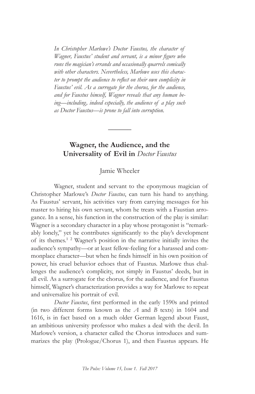*In Christopher Marlowe's Doctor Faustus, the character of Wagner, Faustus' student and servant, is a minor figure who runs the magician's errands and occasionally quarrels comically with other characters. Nevertheless, Marlowe uses this character to prompt the audience to reflect on their own complicity in Faustus' evil. As a surrogate for the chorus, for the audience, and for Faustus himself, Wagner reveals that any human being—including, indeed especially, the audience of a play such as Doctor Faustus—is prone to fall into corruption.*

# **Wagner, the Audience, and the Universality of Evil in** *Doctor Faustus*

**\_\_\_\_\_\_**

### Jamie Wheeler

Wagner, student and servant to the eponymous magician of Christopher Marlowe's *Doctor Faustus*, can turn his hand to anything. As Faustus' servant, his activities vary from carrying messages for his master to hiring his own servant, whom he treats with a Faustian arrogance. In a sense, his function in the construction of the play is similar: Wagner is a secondary character in a play whose protagonist is "remarkably lonely," yet he contributes significantly to the play's development of its themes.<sup>1</sup> <sup>2</sup> Wagner's position in the narrative initially invites the audience's sympathy—or at least fellow-feeling for a harassed and commonplace character—but when he finds himself in his own position of power, his cruel behavior echoes that of Faustus. Marlowe thus challenges the audience's complicity, not simply in Faustus' deeds, but in all evil. As a surrogate for the chorus, for the audience, and for Faustus himself, Wagner's characterization provides a way for Marlowe to repeat and universalize his portrait of evil.

*Doctor Faustus*, first performed in the early 1590s and printed (in two different forms known as the *A* and *B* texts) in 1604 and 1616, is in fact based on a much older German legend about Faust, an ambitious university professor who makes a deal with the devil. In Marlowe's version, a character called the Chorus introduces and summarizes the play (Prologue/Chorus 1), and then Faustus appears. He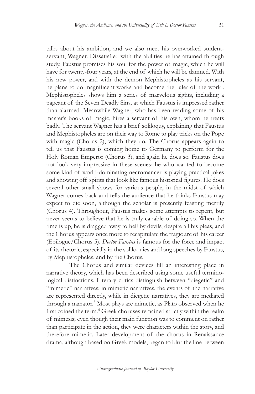talks about his ambition, and we also meet his overworked studentservant, Wagner. Dissatisfied with the abilities he has attained through study, Faustus promises his soul for the power of magic, which he will have for twenty-four years, at the end of which he will be damned. With his new power, and with the demon Mephistopheles as his servant, he plans to do magnificent works and become the ruler of the world. Mephistopheles shows him a series of marvelous sights, including a pageant of the Seven Deadly Sins, at which Faustus is impressed rather than alarmed. Meanwhile Wagner, who has been reading some of his master's books of magic, hires a servant of his own, whom he treats badly. The servant Wagner has a brief soliloquy, explaining that Faustus and Mephistopheles are on their way to Rome to play tricks on the Pope with magic (Chorus 2), which they do. The Chorus appears again to tell us that Faustus is coming home to Germany to perform for the Holy Roman Emperor (Chorus 3), and again he does so. Faustus does not look very impressive in these scenes; he who wanted to become some kind of world-dominating necromancer is playing practical jokes and showing off spirits that look like famous historical figures. He does several other small shows for various people, in the midst of which Wagner comes back and tells the audience that he thinks Faustus may expect to die soon, although the scholar is presently feasting merrily (Chorus 4). Throughout, Faustus makes some attempts to repent, but never seems to believe that he is truly capable of doing so. When the time is up, he is dragged away to hell by devils, despite all his pleas, and the Chorus appears once more to recapitulate the tragic arc of his career (Epilogue/Chorus 5). *Doctor Faustus* is famous for the force and impact of its rhetoric, especially in the soliloquies and long speeches by Faustus, by Mephistopheles, and by the Chorus.

The Chorus and similar devices fill an interesting place in narrative theory, which has been described using some useful terminological distinctions. Literary critics distinguish between "diegetic" and "mimetic" narratives; in mimetic narratives, the events of the narrative are represented directly, while in diegetic narratives, they are mediated through a narrator.<sup>3</sup> Most plays are mimetic, as Plato observed when he first coined the term.<sup>4</sup> Greek choruses remained strictly within the realm of mimesis; even though their main function was to comment on rather than participate in the action, they were characters within the story, and therefore mimetic. Later development of the chorus in Renaissance drama, although based on Greek models, began to blur the line between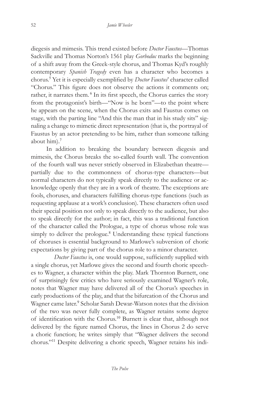diegesis and mimesis. This trend existed before *Doctor Faustus*—Thomas Sackville and Thomas Norton's 1561 play *Gorboduc* marks the beginning of a shift away from the Greek-style chorus, and Thomas Kyd's roughly contemporary *Spanish Tragedy* even has a character who becomes a chorus.<sup>5</sup> Yet it is especially exemplified by *Doctor Faustus*' character called "Chorus." This figure does not observe the actions it comments on; rather, it narrates them.<sup>6</sup> In its first speech, the Chorus carries the story from the protagonist's birth—"Now is he born"—to the point where he appears on the scene, when the Chorus exits and Faustus comes on stage, with the parting line "And this the man that in his study sits" signaling a change to mimetic direct representation (that is, the portrayal of Faustus by an actor pretending to be him, rather than someone talking about him).<sup>7</sup>

In addition to breaking the boundary between diegesis and mimesis, the Chorus breaks the so-called fourth wall. The convention of the fourth wall was never strictly observed in Elizabethan theatre partially due to the commonness of chorus-type characters—but normal characters do not typically speak directly to the audience or acknowledge openly that they are in a work of theatre. The exceptions are fools, choruses, and characters fulfilling chorus-type functions (such as requesting applause at a work's conclusion). These characters often used their special position not only to speak directly to the audience, but also to speak directly for the author; in fact, this was a traditional function of the character called the Prologue, a type of chorus whose role was simply to deliver the prologue.<sup>8</sup> Understanding these typical functions of choruses is essential background to Marlowe's subversion of choric expectations by giving part of the chorus role to a minor character.

*Doctor Faustus* is, one would suppose, sufficiently supplied with a single chorus, yet Marlowe gives the second and fourth choric speeches to Wagner, a character within the play. Mark Thornton Burnett, one of surprisingly few critics who have seriously examined Wagner's role, notes that Wagner may have delivered all of the Chorus's speeches in early productions of the play, and that the bifurcation of the Chorus and Wagner came later.<sup>9</sup> Scholar Sarah Dewar-Watson notes that the division of the two was never fully complete, as Wagner retains some degree of identification with the Chorus.<sup>10</sup> Burnett is clear that, although not delivered by the figure named Chorus, the lines in Chorus 2 do serve a choric function; he writes simply that "Wagner delivers the second chorus."11 Despite delivering a choric speech, Wagner retains his indi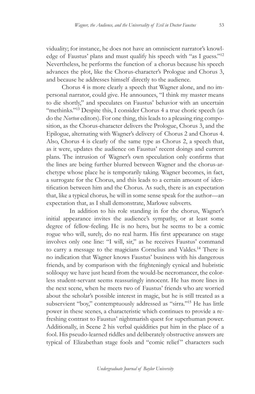viduality; for instance, he does not have an omniscient narrator's knowledge of Faustus' plans and must qualify his speech with "as I guess."<sup>12</sup> Nevertheless, he performs the function of a chorus because his speech advances the plot, like the Chorus-character's Prologue and Chorus 3, and because he addresses himself directly to the audience.

Chorus 4 is more clearly a speech that Wagner alone, and no impersonal narrator, could give. He announces, "I think my master means to die shortly," and speculates on Faustus' behavior with an uncertain "methinks."<sup>13</sup> Despite this, I consider Chorus 4 a true choric speech (as do the *Norton* editors). For one thing, this leads to a pleasing ring composition, as the Chorus-character delivers the Prologue, Chorus 3, and the Epilogue, alternating with Wagner's delivery of Chorus 2 and Chorus 4. Also, Chorus 4 is clearly of the same type as Chorus 2, a speech that, as it were, updates the audience on Faustus' recent doings and current plans. The intrusion of Wagner's own speculation only confirms that the lines are being further blurred between Wagner and the chorus-archetype whose place he is temporarily taking. Wagner becomes, in fact, a surrogate for the Chorus, and this leads to a certain amount of identification between him and the Chorus. As such, there is an expectation that, like a typical chorus, he will in some sense speak for the author—an expectation that, as I shall demonstrate, Marlowe subverts.

In addition to his role standing in for the chorus, Wagner's initial appearance invites the audience's sympathy, or at least some degree of fellow-feeling. He is no hero, but he seems to be a comic rogue who will, surely, do no real harm. His first appearance on stage involves only one line: "I will, sir," as he receives Faustus' command to carry a message to the magicians Cornelius and Valdes.<sup>14</sup> There is no indication that Wagner knows Faustus' business with his dangerous friends, and by comparison with the frighteningly cynical and hubristic soliloquy we have just heard from the would-be necromancer, the colorless student-servant seems reassuringly innocent. He has more lines in the next scene, when he meets two of Faustus' friends who are worried about the scholar's possible interest in magic, but he is still treated as a subservient "boy," contemptuously addressed as "sirra."<sup>15</sup> He has little power in these scenes, a characteristic which continues to provide a refreshing contrast to Faustus' nightmarish quest for superhuman power. Additionally, in Scene 2 his verbal quiddities put him in the place of a fool. His pseudo-learned riddles and deliberately obstructive answers are typical of Elizabethan stage fools and "comic relief" characters such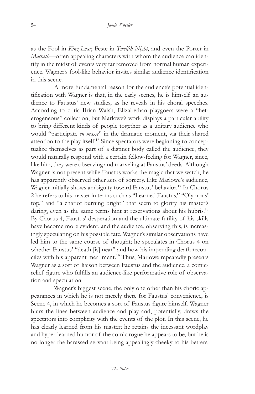as the Fool in *King Lear*, Feste in *Twelfth Night*, and even the Porter in *Macbeth*—often appealing characters with whom the audience can identify in the midst of events very far removed from normal human experience. Wagner's fool-like behavior invites similar audience identification in this scene.

A more fundamental reason for the audience's potential identification with Wagner is that, in the early scenes, he is himself an audience to Faustus' new studies, as he reveals in his choral speeches. According to critic Brian Walsh, Elizabethan playgoers were a "heterogeneous" collection, but Marlowe's work displays a particular ability to bring different kinds of people together as a unitary audience who would "participate *en masse*" in the dramatic moment, via their shared attention to the play itself.16 Since spectators were beginning to conceptualize themselves as part of a distinct body called the audience, they would naturally respond with a certain fellow-feeling for Wagner, since, like him, they were observing and marveling at Faustus' deeds. Although Wagner is not present while Faustus works the magic that we watch, he has apparently observed other acts of sorcery. Like Marlowe's audience, Wagner initially shows ambiguity toward Faustus' behavior.<sup>17</sup> In Chorus 2 he refers to his master in terms such as "Learned Faustus," "Olympus' top," and "a chariot burning bright" that seem to glorify his master's daring, even as the same terms hint at reservations about his hubris.<sup>18</sup> By Chorus 4, Faustus' desperation and the ultimate futility of his skills have become more evident, and the audience, observing this, is increasingly speculating on his possible fate. Wagner's similar observations have led him to the same course of thought; he speculates in Chorus 4 on whether Faustus' "death [is] near" and how his impending death reconciles with his apparent merriment.<sup>19</sup> Thus, Marlowe repeatedly presents Wagner as a sort of liaison between Faustus and the audience, a comicrelief figure who fulfills an audience-like performative role of observation and speculation.

Wagner's biggest scene, the only one other than his choric appearances in which he is not merely there for Faustus' convenience, is Scene 4, in which he becomes a sort of Faustus figure himself. Wagner blurs the lines between audience and play and, potentially, draws the spectators into complicity with the events of the plot. In this scene, he has clearly learned from his master; he retains the incessant wordplay and hyper-learned humor of the comic rogue he appears to be, but he is no longer the harassed servant being appealingly cheeky to his betters.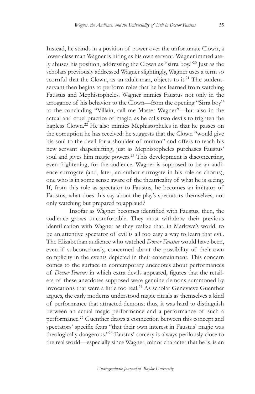Instead, he stands in a position of power over the unfortunate Clown, a lower-class man Wagner is hiring as his own servant. Wagner immediately abuses his position, addressing the Clown as "sirra boy."<sup>20</sup> Just as the scholars previously addressed Wagner slightingly, Wagner uses a term so scornful that the Clown, as an adult man, objects to it.<sup>21</sup> The studentservant then begins to perform roles that he has learned from watching Faustus and Mephistopheles. Wagner mimics Faustus not only in the arrogance of his behavior to the Clown—from the opening "Sirra boy" to the concluding "Villain, call me Master Wagner"—but also in the actual and cruel practice of magic, as he calls two devils to frighten the hapless Clown.<sup>22</sup> He also mimics Mephistopheles in that he passes on the corruption he has received: he suggests that the Clown "would give his soul to the devil for a shoulder of mutton" and offers to teach his new servant shapeshifting, just as Mephistopheles purchases Faustus' soul and gives him magic powers.<sup>23</sup> This development is disconcerting, even frightening, for the audience. Wagner is supposed to be an audience surrogate (and, later, an author surrogate in his role as chorus), one who is in some sense aware of the theatricality of what he is seeing. If, from this role as spectator to Faustus, he becomes an imitator of Faustus, what does this say about the play's spectators themselves, not only watching but prepared to applaud?

Insofar as Wagner becomes identified with Faustus, then, the audience grows uncomfortable. They must withdraw their previous identification with Wagner as they realize that, in Marlowe's world, to be an attentive spectator of evil is all too easy a way to learn that evil. The Elizabethan audience who watched *Doctor Faustus* would have been, even if subconsciously, concerned about the possibility of their own complicity in the events depicted in their entertainment. This concern comes to the surface in contemporary anecdotes about performances of *Doctor Faustus* in which extra devils appeared, figures that the retailers of these anecdotes supposed were genuine demons summoned by invocations that were a little too real.<sup>24</sup> As scholar Genevieve Guenther argues, the early moderns understood magic rituals as themselves a kind of performance that attracted demons; thus, it was hard to distinguish between an actual magic performance and a performance of such a performance.<sup>25</sup> Guenther draws a connection between this concept and spectators' specific fears "that their own interest in Faustus' magic was theologically dangerous."<sup>26</sup> Faustus' sorcery is always perilously close to the real world—especially since Wagner, minor character that he is, is an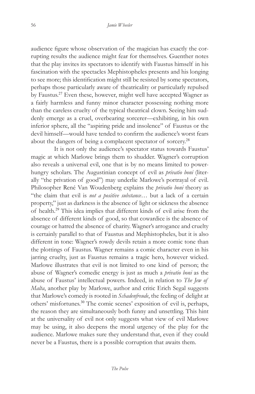audience figure whose observation of the magician has exactly the corrupting results the audience might fear for themselves. Guenther notes that the play invites its spectators to identify with Faustus himself in his fascination with the spectacles Mephistopheles presents and his longing to see more; this identification might still be resisted by some spectators, perhaps those particularly aware of theatricality or particularly repulsed by Faustus.<sup>27</sup> Even these, however, might well have accepted Wagner as a fairly harmless and funny minor character possessing nothing more than the careless cruelty of the typical theatrical clown. Seeing him suddenly emerge as a cruel, overbearing sorcerer—exhibiting, in his own inferior sphere, all the "aspiring pride and insolence" of Faustus or the devil himself—would have tended to confirm the audience's worst fears about the dangers of being a complacent spectator of sorcery.<sup>28</sup>

It is not only the audience's spectator status towards Faustus' magic at which Marlowe brings them to shudder. Wagner's corruption also reveals a universal evil, one that is by no means limited to powerhungry scholars. The Augustinian concept of evil as *privatio boni* (literally "the privation of good") may underlie Marlowe's portrayal of evil. Philosopher René Van Woudenberg explains the *privatio boni* theory as "the claim that evil is *not a positive substance*… but a lack of a certain property," just as darkness is the absence of light or sickness the absence of health.<sup>29</sup> This idea implies that different kinds of evil arise from the absence of different kinds of good, so that cowardice is the absence of courage or hatred the absence of charity. Wagner's arrogance and cruelty is certainly parallel to that of Faustus and Mephistopheles, but it is also different in tone: Wagner's rowdy devils retain a more comic tone than the plottings of Faustus. Wagner remains a comic character even in his jarring cruelty, just as Faustus remains a tragic hero, however wicked. Marlowe illustrates that evil is not limited to one kind of person; the abuse of Wagner's comedic energy is just as much a *privatio boni* as the abuse of Faustus' intellectual powers. Indeed, in relation to *The Jew of Malta*, another play by Marlowe, author and critic Erich Segal suggests that Marlowe's comedy is rooted in *Schadenfreude*, the feeling of delight at others' misfortunes.<sup>30</sup> The comic scenes' exposition of evil is, perhaps, the reason they are simultaneously both funny and unsettling. This hint at the universality of evil not only suggests what view of evil Marlowe may be using, it also deepens the moral urgency of the play for the audience. Marlowe makes sure they understand that, even if they could never be a Faustus, there is a possible corruption that awaits them.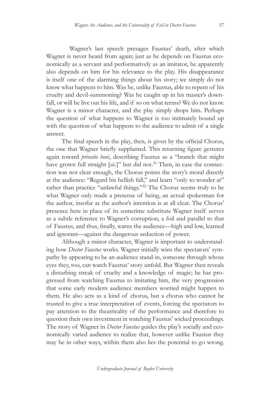Wagner's last speech presages Faustus' death, after which Wagner is never heard from again; just as he depends on Faustus economically as a servant and performatively as an imitator, he apparently also depends on him for his relevance to the play. His disappearance is itself one of the alarming things about his story; we simply do not know what happens to him. Was he, unlike Faustus, able to repent of his cruelty and devil-summoning? Was he caught up in his master's downfall, or will he live out his life, and if so on what terms? We do not know. Wagner is a minor character, and the play simply drops him. Perhaps the question of what happens to Wagner is too intimately bound up with the question of what happens to the audience to admit of a single answer.

The final speech in the play, then, is given by the official Chorus, the one that Wagner briefly supplanted. This returning figure gestures again toward *privatio boni*, describing Faustus as a "branch that might have grown full straight [sic.]" but did not.<sup>31</sup> Then, in case the connection was not clear enough, the Chorus points the story's moral directly at the audience: "Regard his hellish fall," and learn "only to wonder at" rather than practice "unlawful things."<sup>32</sup> The Chorus seems truly to be what Wagner only made a pretense of being, an actual spokesman for the author, insofar as the author's intention is at all clear. The Chorus' presence here in place of its sometime substitute Wagner itself serves as a subtle reference to Wagner's corruption, a foil and parallel to that of Faustus, and thus, finally, warns the audience—high and low, learned and ignorant—against the dangerous seduction of power.

Although a minor character, Wagner is important to understanding how *Doctor Faustus* works. Wagner initially wins the spectators' sympathy by appearing to be an audience stand-in, someone through whose eyes they, too, can watch Faustus' story unfold. But Wagner then reveals a disturbing streak of cruelty and a knowledge of magic; he has progressed from watching Faustus to imitating him, the very progression that some early modern audience members worried might happen to them. He also acts as a kind of chorus, but a chorus who cannot be trusted to give a true interpretation of events, forcing the spectators to pay attention to the theatricality of the performance and therefore to question their own investment in watching Faustus' wicked proceedings. The story of Wagner in *Doctor Faustus* guides the play's socially and economically varied audience to realize that, however unlike Faustus they may be in other ways, within them also lies the potential to go wrong.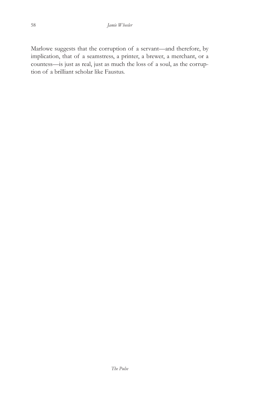Marlowe suggests that the corruption of a servant—and therefore, by implication, that of a seamstress, a printer, a brewer, a merchant, or a countess—is just as real, just as much the loss of a soul, as the corruption of a brilliant scholar like Faustus.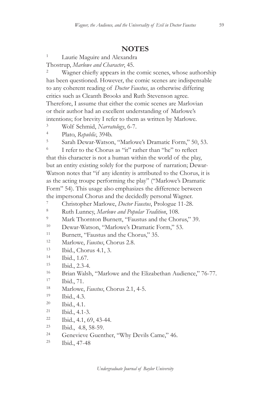# **NOTES**

1 Laurie Maguire and Alexandra Thostrup, *Marlowe and Character*, 45.

<sup>2</sup> Wagner chiefly appears in the comic scenes, whose authorship has been questioned. However, the comic scenes are indispensable to any coherent reading of *Doctor Faustus*, as otherwise differing critics such as Cleanth Brooks and Ruth Stevenson agree. Therefore, I assume that either the comic scenes are Marlovian or their author had an excellent understanding of Marlowe's intentions; for brevity I refer to them as written by Marlowe.

- 3 Wolf Schmid, *Narratology*, 6-7.
- 4 Plato, *Republic*, 394b.
- 5 Sarah Dewar-Watson, "Marlowe's Dramatic Form," 50, 53.

 $\frac{6}{1}$  refer to the Chorus as "it" rather than "he" to reflect that this character is not a human within the world of the play, but an entity existing solely for the purpose of narration; Dewar-Watson notes that "if any identity is attributed to the Chorus, it is as the acting troupe performing the play" ("Marlowe's Dramatic Form" 54). This usage also emphasizes the difference between the impersonal Chorus and the decidedly personal Wagner.

7 Christopher Marlowe, *Doctor Faustus*, Prologue 11-28.

- 8 Ruth Lunney, *Marlowe and Popular Tradition*, 108.
- 9 Mark Thornton Burnett, "Faustus and the Chorus," 39.
- 10 Dewar-Watson, "Marlowe's Dramatic Form," 53.
- 11 Burnett, "Faustus and the Chorus," 35.
- 12 Marlowe, *Faustus*, Chorus 2.8.
- 13 Ibid., Chorus 4.1, 3.
- 14 Ibid., 1.67.
- 15 Ibid., 2.3-4.
- 16 Brian Walsh, "Marlowe and the Elizabethan Audience," 76-77.
- 17 Ibid., 71.
- 18 Marlowe, *Faustus*, Chorus 2.1, 4-5.
- 19 Ibid., 4.3.
- 20 Ibid., 4.1.
- 21 Ibid., 4.1-3.
- $22$  Ibid., 4.1, 69, 43-44.
- 23 Ibid., 4.8, 58-59.
- <sup>24</sup> Genevieve Guenther, "Why Devils Came," 46.
- 25 Ibid., 47-48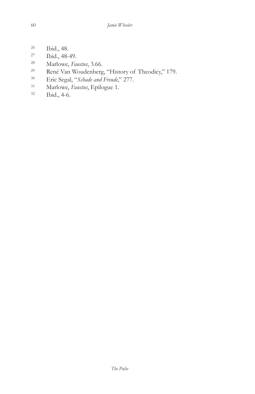- $rac{26}{27}$  Ibid., 48.
- Ibid., 48-49.
- <sup>28</sup> Marlowe, *Faustus*, 3.66.<br><sup>29</sup> René Van Woudenberg
- René Van Woudenberg, "History of Theodicy," 179.
- 30 Eric Segal, "*Schade and Freude*," 277.
- 31 Marlowe, *Faustus*, Epilogue 1.
- 32 Ibid., 4-6.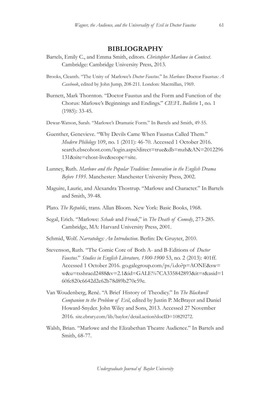### **BIBLIOGRAPHY**

- Bartels, Emily C., and Emma Smith, editors. *Christopher Marlowe in Context*. Cambridge: Cambridge University Press, 2013.
- Brooks, Cleanth. "The Unity of Marlowe's *Doctor Faustus*." In *Marlowe:* Doctor Faustus*: A Casebook*, edited by John Jump, 208-211. London: Macmillan, 1969.
- Burnett, Mark Thornton. "Doctor Faustus and the Form and Function of the Chorus: Marlowe's Beginnings and Endings." *CIEFL Bulletin* 1, no. 1 (1985): 33-45.
- Dewar-Watson, Sarah. "Marlowe's Dramatic Form." In Bartels and Smith, 49-55.
- Guenther, Genevieve. "Why Devils Came When Faustus Called Them." *Modern Philology* 109, no. 1 (2011): 46-70. Accessed 1 October 2016. search.ebscohost.com/login.aspx?direct=true&db=mzh&AN=2012296 131&site=ehost-live&scope=site.
- Lunney, Ruth. *Marlowe and the Popular Tradition: Innovation in the English Drama Before 1595*. Manchester: Manchester University Press, 2002.
- Maguire, Laurie, and Alexandra Thostrup. "Marlowe and Character." In Bartels and Smith, 39-48.
- Plato. *The Republic*, trans. Allan Bloom. New York: Basic Books, 1968.
- Segal, Erich. "Marlowe: *Schade* and *Freude*," in *The Death of Comedy*, 273-285. Cambridge, MA: Harvard University Press, 2001.
- Schmid, Wolf. *Narratology: An Introduction*. Berlin: De Gruyter, 2010.
- Stevenson, Ruth. "The Comic Core of Both A- and B-Editions of *Doctor Faustus*." *Studies in English Literature, 1500-1900* 53, no. 2 (2013): 401ff. Accessed 1 October 2016. go.galegroup.com/ps/i.do?p=AONE&sw= w&u=txshracd2488&v=2.1&id=GALE%7CA335842893&it=r&asid=1 60fc820c6642d2e62b78d89b270c59e.
- Van Woudenberg, René. "A Brief History of Theodicy." In *The Blackwell Companion to the Problem of Evil*, edited by Justin P. McBrayer and Daniel Howard-Snyder. John Wiley and Sons, 2013. Accessed 27 November 2016. site.ebrary.com/lib/baylor/detail.action?docID=10829272.
- Walsh, Brian. "Marlowe and the Elizabethan Theatre Audience." In Bartels and Smith, 68-77.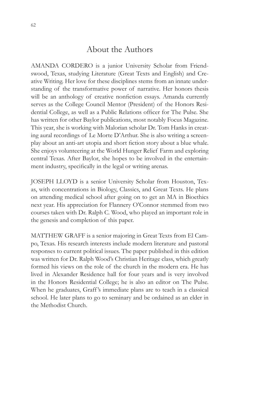# About the Authors

AMANDA CORDERO is a junior University Scholar from Friendswood, Texas, studying Literature (Great Texts and English) and Creative Writing. Her love for these disciplines stems from an innate understanding of the transformative power of narrative. Her honors thesis will be an anthology of creative nonfiction essays. Amanda currently serves as the College Council Mentor (President) of the Honors Residential College, as well as a Public Relations officer for The Pulse. She has written for other Baylor publications, most notably Focus Magazine. This year, she is working with Malorian scholar Dr. Tom Hanks in creating aural recordings of Le Morte D'Arthur. She is also writing a screenplay about an anti-art utopia and short fiction story about a blue whale. She enjoys volunteering at the World Hunger Relief Farm and exploring central Texas. After Baylor, she hopes to be involved in the entertainment industry, specifically in the legal or writing arenas.

JOSEPH LLOYD is a senior University Scholar from Houston, Texas, with concentrations in Biology, Classics, and Great Texts. He plans on attending medical school after going on to get an MA in Bioethics next year. His appreciation for Flannery O'Connor stemmed from two courses taken with Dr. Ralph C. Wood, who played an important role in the genesis and completion of this paper.

MATTHEW GRAFF is a senior majoring in Great Texts from El Campo, Texas. His research interests include modern literature and pastoral responses to current political issues. The paper published in this edition was written for Dr. Ralph Wood's Christian Heritage class, which greatly formed his views on the role of the church in the modern era. He has lived in Alexander Residence hall for four years and is very involved in the Honors Residential College; he is also an editor on The Pulse. When he graduates, Graff 's immediate plans are to teach in a classical school. He later plans to go to seminary and be ordained as an elder in the Methodist Church.